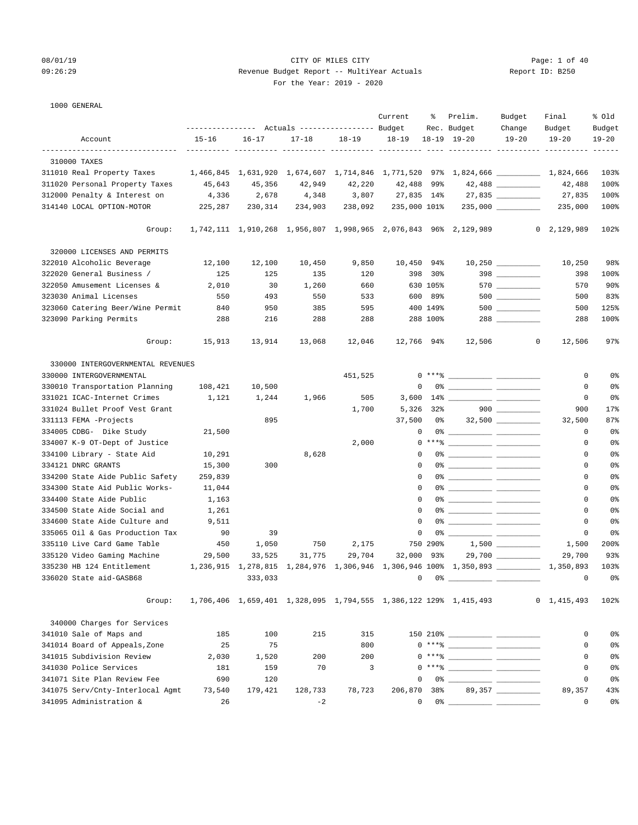# 08/01/19 Page: 1 of 40 09:26:29 Revenue Budget Report -- MultiYear Actuals Report ID: B250 For the Year: 2019 - 2020

1000 GENERAL

|                                                                |           |           | ---------------    Actuals ----------------    Budget |           | Current                | ႜ        | Prelim.<br>Rec. Budget                                                                                                                                                                                                                                                                                                   | Budget<br>Change  | Final<br>Budget     | % Old<br>Budget |
|----------------------------------------------------------------|-----------|-----------|-------------------------------------------------------|-----------|------------------------|----------|--------------------------------------------------------------------------------------------------------------------------------------------------------------------------------------------------------------------------------------------------------------------------------------------------------------------------|-------------------|---------------------|-----------------|
| Account                                                        | $15 - 16$ | $16 - 17$ | $17 - 18$                                             | $18 - 19$ | $18 - 19$              |          | $18 - 19$ $19 - 20$                                                                                                                                                                                                                                                                                                      | $19 - 20$         | $19 - 20$           | $19 - 20$       |
|                                                                |           |           |                                                       |           |                        |          |                                                                                                                                                                                                                                                                                                                          |                   |                     |                 |
| 310000 TAXES                                                   |           |           |                                                       |           |                        |          |                                                                                                                                                                                                                                                                                                                          |                   |                     |                 |
| 311010 Real Property Taxes                                     |           |           |                                                       |           |                        |          | 1,466,845 1,631,920 1,674,607 1,714,846 1,771,520 97% 1,824,666 __________ 1,824,666                                                                                                                                                                                                                                     |                   |                     | 103%            |
| 311020 Personal Property Taxes                                 | 45,643    | 45,356    | 42,949                                                | 42,220    | 42,488 99%             |          |                                                                                                                                                                                                                                                                                                                          |                   | 42,488              | 100%            |
| 312000 Penalty & Interest on                                   | 4,336     | 2,678     | 4,348                                                 | 3,807     | 27,835 14%             |          |                                                                                                                                                                                                                                                                                                                          | 27,835 _________  | 27,835              | 100%            |
| 314140 LOCAL OPTION-MOTOR                                      | 225,287   | 230,314   | 234,903                                               | 238,092   | 235,000 101%           |          |                                                                                                                                                                                                                                                                                                                          |                   | 235,000             | 100%            |
| Group:                                                         |           |           |                                                       |           |                        |          | 1,742,111 1,910,268 1,956,807 1,998,965 2,076,843 96% 2,129,989                                                                                                                                                                                                                                                          |                   | $0 \quad 2,129,989$ | 102%            |
| 320000 LICENSES AND PERMITS                                    |           |           |                                                       |           |                        |          |                                                                                                                                                                                                                                                                                                                          |                   |                     |                 |
| 322010 Alcoholic Beverage                                      | 12,100    | 12,100    | 10,450                                                | 9,850     | 10,450 94%             |          |                                                                                                                                                                                                                                                                                                                          |                   | 10,250              | 98%             |
| 322020 General Business /                                      | 125       | 125       | 135                                                   | 120       |                        | 398 30%  |                                                                                                                                                                                                                                                                                                                          | $398$             | 398                 | 100%            |
| 322050 Amusement Licenses &                                    | 2,010     | 30        | 1,260                                                 | 660       |                        | 630 105% |                                                                                                                                                                                                                                                                                                                          |                   | 570                 | $90\%$          |
| 323030 Animal Licenses                                         | 550       | 493       | 550                                                   | 533       |                        | 600 89%  |                                                                                                                                                                                                                                                                                                                          |                   | 500                 | 83%             |
| 323060 Catering Beer/Wine Permit                               | 840       | 950       | 385                                                   | 595       |                        | 400 149% |                                                                                                                                                                                                                                                                                                                          | $500$ __________  | 500                 | 125%            |
| 323090 Parking Permits                                         | 288       | 216       | 288                                                   | 288       |                        | 288 100% |                                                                                                                                                                                                                                                                                                                          | $288$ _________   | 288                 | 100%            |
| Group:                                                         | 15,913    | 13,914    | 13,068                                                | 12,046    | 12,766 94%             |          | 12,506                                                                                                                                                                                                                                                                                                                   | $\mathbf{0}$      | 12,506              | 97%             |
|                                                                |           |           |                                                       |           |                        |          |                                                                                                                                                                                                                                                                                                                          |                   |                     |                 |
| 330000 INTERGOVERNMENTAL REVENUES                              |           |           |                                                       |           |                        |          |                                                                                                                                                                                                                                                                                                                          |                   |                     |                 |
| 330000 INTERGOVERNMENTAL                                       |           |           |                                                       | 451,525   |                        |          | $0***$ $\frac{1}{2}$ $\frac{1}{2}$ $\frac{1}{2}$ $\frac{1}{2}$ $\frac{1}{2}$ $\frac{1}{2}$ $\frac{1}{2}$ $\frac{1}{2}$ $\frac{1}{2}$ $\frac{1}{2}$ $\frac{1}{2}$ $\frac{1}{2}$ $\frac{1}{2}$ $\frac{1}{2}$ $\frac{1}{2}$ $\frac{1}{2}$ $\frac{1}{2}$ $\frac{1}{2}$ $\frac{1}{2}$ $\frac{1}{2}$ $\frac{1}{2}$ $\frac{1}{$ |                   | 0                   | 0%              |
| 330010 Transportation Planning                                 | 108,421   | 10,500    |                                                       |           | 0                      |          |                                                                                                                                                                                                                                                                                                                          |                   | 0                   | 0 <sup>°</sup>  |
| 331021 ICAC-Internet Crimes                                    | 1,121     | 1,244     | 1,966                                                 | 505       | 3,600                  |          |                                                                                                                                                                                                                                                                                                                          |                   | 0                   | 0 <sup>8</sup>  |
| 331024 Bullet Proof Vest Grant                                 |           |           |                                                       | 1,700     | 5,326                  | $32\%$   |                                                                                                                                                                                                                                                                                                                          | $900$             | 900                 | $17$ %          |
| 331113 FEMA -Projects                                          |           | 895       |                                                       |           | 37,500                 |          | 0 왕 1                                                                                                                                                                                                                                                                                                                    |                   | 32,500              | 87%             |
| 334005 CDBG- Dike Study                                        | 21,500    |           |                                                       |           | 0                      |          |                                                                                                                                                                                                                                                                                                                          |                   | 0                   | 0 <sup>8</sup>  |
| 334007 K-9 OT-Dept of Justice                                  |           |           |                                                       | 2,000     |                        |          | $0***$ $\frac{20}{100}$                                                                                                                                                                                                                                                                                                  |                   | 0                   | 0 <sup>°</sup>  |
| 334100 Library - State Aid                                     | 10,291    |           | 8,628                                                 |           | $\Omega$               |          |                                                                                                                                                                                                                                                                                                                          |                   | 0                   | 0 <sup>8</sup>  |
| 334121 DNRC GRANTS                                             | 15,300    | 300       |                                                       |           | $\Omega$               |          |                                                                                                                                                                                                                                                                                                                          |                   | 0                   | 0%              |
| 334200 State Aide Public Safety                                | 259,839   |           |                                                       |           | $\Omega$               |          |                                                                                                                                                                                                                                                                                                                          |                   | 0                   | 0%              |
| 334300 State Aid Public Works-                                 | 11,044    |           |                                                       |           | $\Omega$               |          |                                                                                                                                                                                                                                                                                                                          |                   | 0                   | 0 <sup>°</sup>  |
| 334400 State Aide Public                                       | 1,163     |           |                                                       |           | 0                      |          |                                                                                                                                                                                                                                                                                                                          |                   | 0                   | 0%              |
| 334500 State Aide Social and                                   | 1,261     |           |                                                       |           | $\Omega$               |          |                                                                                                                                                                                                                                                                                                                          |                   | 0                   | 0%              |
| 334600 State Aide Culture and                                  | 9,511     |           |                                                       |           | 0                      |          |                                                                                                                                                                                                                                                                                                                          |                   | 0                   | 0 <sup>8</sup>  |
| 335065 Oil & Gas Production Tax<br>335110 Live Card Game Table | 90<br>450 | 39        | 750                                                   | 2,175     | $\mathbf 0$            | 750 290% |                                                                                                                                                                                                                                                                                                                          |                   | 0                   | 0%<br>200%      |
| 335120 Video Gaming Machine                                    |           | 1,050     |                                                       |           |                        |          |                                                                                                                                                                                                                                                                                                                          |                   | 1,500               | 93%             |
| 335230 HB 124 Entitlement                                      | 29,500    | 33,525    | 31,775                                                | 29,704    | 32,000 93%             |          | 1,236,915 1,278,815 1,284,976 1,306,946 1,306,946 100% 1,350,893 1,350,893                                                                                                                                                                                                                                               | 29,700 __________ | 29,700              | 103%            |
| 336020 State aid-GASB68                                        |           | 333,033   |                                                       |           | $0 \t 0$ $0 \t 0 \t 0$ |          |                                                                                                                                                                                                                                                                                                                          |                   | $\overline{0}$      | 0%              |
|                                                                |           |           |                                                       |           |                        |          |                                                                                                                                                                                                                                                                                                                          |                   |                     |                 |
| Group:                                                         |           |           |                                                       |           |                        |          | 1,706,406 1,659,401 1,328,095 1,794,555 1,386,122 129% 1,415,493                                                                                                                                                                                                                                                         |                   | 0, 1, 415, 493      | 102%            |
| 340000 Charges for Services                                    |           |           |                                                       |           |                        |          |                                                                                                                                                                                                                                                                                                                          |                   |                     |                 |
| 341010 Sale of Maps and                                        | 185       | 100       | 215                                                   | 315       |                        |          | $150210$ $210$ $210$ $210$ $210$ $210$ $210$ $210$ $210$ $210$ $210$ $210$ $210$ $210$ $210$ $210$ $210$ $210$ $210$ $210$ $210$ $210$ $210$ $210$ $210$ $210$ $210$ $210$ $210$ $210$ $210$ $210$ $210$ $210$ $210$ $210$ $2$                                                                                           |                   | 0                   | 0%              |
| 341014 Board of Appeals, Zone                                  | 25        | 75        |                                                       | 800       |                        |          | $0***$ $\frac{20}{100}$                                                                                                                                                                                                                                                                                                  |                   | 0                   | 0%              |
| 341015 Subdivision Review                                      | 2,030     | 1,520     | 200                                                   | 200       |                        |          | $0***$ $\frac{20}{100}$                                                                                                                                                                                                                                                                                                  |                   | 0                   | 0%              |
| 341030 Police Services                                         | 181       | 159       | 70                                                    | 3         |                        |          | $0***$ $\frac{20}{100}$                                                                                                                                                                                                                                                                                                  |                   | 0                   | 0%              |
| 341071 Site Plan Review Fee                                    | 690       | 120       |                                                       |           | 0                      |          |                                                                                                                                                                                                                                                                                                                          |                   | 0                   | 0%              |
| 341075 Serv/Cnty-Interlocal Agmt                               | 73,540    | 179,421   | 128,733                                               | 78,723    | 206,870                | 38%      |                                                                                                                                                                                                                                                                                                                          | 89,357 __________ | 89,357              | 43%             |
| 341095 Administration &                                        | 26        |           | $-2$                                                  |           | 0                      |          | $0$ $\frac{1}{2}$ $\frac{1}{2}$ $\frac{1}{2}$ $\frac{1}{2}$ $\frac{1}{2}$ $\frac{1}{2}$ $\frac{1}{2}$ $\frac{1}{2}$ $\frac{1}{2}$ $\frac{1}{2}$ $\frac{1}{2}$ $\frac{1}{2}$ $\frac{1}{2}$ $\frac{1}{2}$ $\frac{1}{2}$ $\frac{1}{2}$ $\frac{1}{2}$ $\frac{1}{2}$ $\frac{1}{2}$ $\frac{1}{2}$ $\frac{1}{2}$ $\frac{1}{2$   |                   | $\mathbf 0$         | 0%              |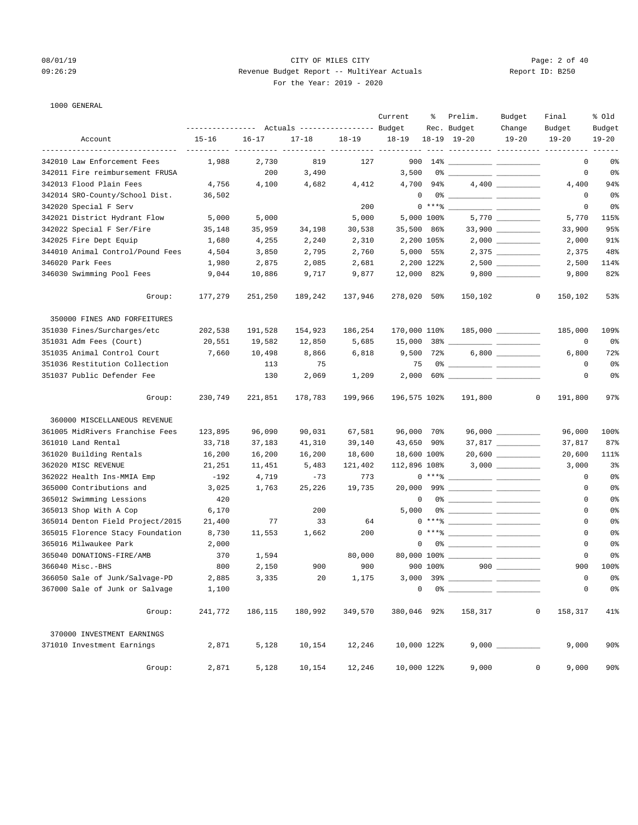# 08/01/19 CITY OF MILES CITY Page: 2 of 40 09:26:29 Revenue Budget Report -- MultiYear Actuals Report ID: B250 For the Year: 2019 - 2020

# 1000 GENERAL

|                                  |                                                              |           |           |           | Current      | ႜ          | Prelim.                                                                                                                                                                                                                                                                                                                                             | Budget              | Final                             | % old               |
|----------------------------------|--------------------------------------------------------------|-----------|-----------|-----------|--------------|------------|-----------------------------------------------------------------------------------------------------------------------------------------------------------------------------------------------------------------------------------------------------------------------------------------------------------------------------------------------------|---------------------|-----------------------------------|---------------------|
| Account                          | --------------- Actuals ---------------- Budget<br>$15 - 16$ | $16 - 17$ | $17 - 18$ |           | $18 - 19$    |            | Rec. Budget<br>$18-19$ $19-20$                                                                                                                                                                                                                                                                                                                      | Change<br>$19 - 20$ | Budget<br>$19 - 20$               | Budget<br>$19 - 20$ |
|                                  |                                                              |           |           | $18 - 19$ |              |            |                                                                                                                                                                                                                                                                                                                                                     |                     | ----------- ---------- ---------- |                     |
| 342010 Law Enforcement Fees      | 1,988                                                        | 2,730     | 819       | 127       |              |            |                                                                                                                                                                                                                                                                                                                                                     |                     | 0                                 | 0 <sup>°</sup>      |
| 342011 Fire reimbursement FRUSA  |                                                              | 200       | 3,490     |           | 3,500        |            |                                                                                                                                                                                                                                                                                                                                                     |                     | 0                                 | 0 <sup>°</sup>      |
| 342013 Flood Plain Fees          | 4,756                                                        | 4,100     | 4,682     | 4,412     |              | 4,700 94%  |                                                                                                                                                                                                                                                                                                                                                     |                     | 4,400                             | 94%                 |
| 342014 SRO-County/School Dist.   | 36,502                                                       |           |           |           | 0            |            |                                                                                                                                                                                                                                                                                                                                                     |                     | 0                                 | 0 <sup>8</sup>      |
| 342020 Special F Serv            |                                                              |           |           | 200       |              |            | $0***$ $\frac{1}{1}$                                                                                                                                                                                                                                                                                                                                |                     | 0                                 | 0 <sup>8</sup>      |
| 342021 District Hydrant Flow     | 5,000                                                        | 5,000     |           | 5,000     |              | 5,000 100% |                                                                                                                                                                                                                                                                                                                                                     |                     | 5,770                             | 115%                |
| 342022 Special F Ser/Fire        | 35,148                                                       | 35,959    | 34,198    | 30,538    | 35,500 86%   |            |                                                                                                                                                                                                                                                                                                                                                     |                     | 33,900                            | 95%                 |
| 342025 Fire Dept Equip           | 1,680                                                        | 4,255     | 2,240     | 2,310     |              | 2,200 105% |                                                                                                                                                                                                                                                                                                                                                     |                     | 2,000                             | 91%                 |
| 344010 Animal Control/Pound Fees | 4,504                                                        | 3,850     | 2,795     | 2,760     |              | 5,000 55%  |                                                                                                                                                                                                                                                                                                                                                     |                     | 2,375                             | 48%                 |
| 346020 Park Fees                 | 1,980                                                        | 2,875     | 2,085     | 2,681     |              | 2,200 122% |                                                                                                                                                                                                                                                                                                                                                     |                     | 2,500                             | 114%                |
| 346030 Swimming Pool Fees        | 9,044                                                        | 10,886    | 9,717     | 9,877     | 12,000 82%   |            |                                                                                                                                                                                                                                                                                                                                                     |                     | 9,800                             | 82%                 |
| Group:                           | 177,279                                                      | 251,250   | 189,242   | 137,946   | 278,020 50%  |            | 150,102                                                                                                                                                                                                                                                                                                                                             | 0                   | 150,102                           | 53%                 |
| 350000 FINES AND FORFEITURES     |                                                              |           |           |           |              |            |                                                                                                                                                                                                                                                                                                                                                     |                     |                                   |                     |
| 351030 Fines/Surcharges/etc      | 202,538                                                      | 191,528   | 154,923   | 186,254   | 170,000 110% |            |                                                                                                                                                                                                                                                                                                                                                     |                     | 185,000                           | 109%                |
| 351031 Adm Fees (Court)          | 20,551                                                       | 19,582    | 12,850    | 5,685     |              |            |                                                                                                                                                                                                                                                                                                                                                     |                     | 0                                 | 0%                  |
| 351035 Animal Control Court      | 7,660                                                        | 10,498    | 8,866     | 6,818     | 9,500 72%    |            |                                                                                                                                                                                                                                                                                                                                                     |                     | 6,800                             | 72%                 |
| 351036 Restitution Collection    |                                                              | 113       | 75        |           | 75           |            |                                                                                                                                                                                                                                                                                                                                                     |                     | 0                                 | 0 <sup>8</sup>      |
| 351037 Public Defender Fee       |                                                              | 130       | 2,069     | 1,209     |              |            |                                                                                                                                                                                                                                                                                                                                                     |                     | 0                                 | 0 <sup>°</sup>      |
| Group:                           | 230,749                                                      | 221,851   | 178,783   | 199,966   | 196,575 102% |            | 191,800                                                                                                                                                                                                                                                                                                                                             | 0                   | 191,800                           | 97%                 |
| 360000 MISCELLANEOUS REVENUE     |                                                              |           |           |           |              |            |                                                                                                                                                                                                                                                                                                                                                     |                     |                                   |                     |
| 361005 MidRivers Franchise Fees  | 123,895                                                      | 96,090    | 90,031    | 67,581    | 96,000 70%   |            |                                                                                                                                                                                                                                                                                                                                                     |                     | 96,000                            | 100%                |
| 361010 Land Rental               | 33,718                                                       | 37,183    | 41,310    | 39,140    | 43,650 90%   |            |                                                                                                                                                                                                                                                                                                                                                     |                     | 37,817                            | 87%                 |
| 361020 Building Rentals          | 16,200                                                       | 16,200    | 16,200    | 18,600    | 18,600 100%  |            |                                                                                                                                                                                                                                                                                                                                                     | $20,600$ __________ | 20,600                            | 111%                |
| 362020 MISC REVENUE              | 21,251                                                       | 11,451    | 5,483     | 121,402   | 112,896 108% |            |                                                                                                                                                                                                                                                                                                                                                     |                     | 3,000                             | 3 <sup>°</sup>      |
| 362022 Health Ins-MMIA Emp       | -192                                                         | 4,719     | $-73$     | 773       |              |            | $\begin{picture}(150,10) \put(0,0){\line(1,0){10}} \put(15,0){\line(1,0){10}} \put(15,0){\line(1,0){10}} \put(15,0){\line(1,0){10}} \put(15,0){\line(1,0){10}} \put(15,0){\line(1,0){10}} \put(15,0){\line(1,0){10}} \put(15,0){\line(1,0){10}} \put(15,0){\line(1,0){10}} \put(15,0){\line(1,0){10}} \put(15,0){\line(1,0){10}} \put(15,0){\line($ |                     | 0                                 | 0 <sup>8</sup>      |
| 365000 Contributions and         | 3,025                                                        | 1,763     | 25,226    | 19,735    |              |            |                                                                                                                                                                                                                                                                                                                                                     |                     | 0                                 | 0 <sup>°</sup>      |
| 365012 Swimming Lessions         | 420                                                          |           |           |           | $\mathbf 0$  |            |                                                                                                                                                                                                                                                                                                                                                     |                     | 0                                 | 0 <sup>°</sup>      |
| 365013 Shop With A Cop           | 6,170                                                        |           | 200       |           | 5,000        |            |                                                                                                                                                                                                                                                                                                                                                     |                     | $\mathbf 0$                       | 0 <sup>8</sup>      |
| 365014 Denton Field Project/2015 | 21,400                                                       | 77        | 33        | 64        |              |            | $0***$ $\frac{1}{2}$ $\frac{1}{2}$ $\frac{1}{2}$ $\frac{1}{2}$ $\frac{1}{2}$ $\frac{1}{2}$ $\frac{1}{2}$ $\frac{1}{2}$ $\frac{1}{2}$ $\frac{1}{2}$ $\frac{1}{2}$ $\frac{1}{2}$ $\frac{1}{2}$ $\frac{1}{2}$ $\frac{1}{2}$ $\frac{1}{2}$ $\frac{1}{2}$ $\frac{1}{2}$ $\frac{1}{2}$ $\frac{1}{2}$ $\frac{1}{2}$ $\frac{1}{$                            |                     | $\mathbf{0}$                      | 0%                  |
| 365015 Florence Stacy Foundation | 8,730                                                        | 11,553    | 1,662     | 200       |              |            | $\begin{picture}(150,10) \put(0,0){\line(1,0){10}} \put(15,0){\line(1,0){10}} \put(15,0){\line(1,0){10}} \put(15,0){\line(1,0){10}} \put(15,0){\line(1,0){10}} \put(15,0){\line(1,0){10}} \put(15,0){\line(1,0){10}} \put(15,0){\line(1,0){10}} \put(15,0){\line(1,0){10}} \put(15,0){\line(1,0){10}} \put(15,0){\line(1,0){10}} \put(15,0){\line($ |                     | 0                                 | 0%                  |
| 365016 Milwaukee Park            | 2,000                                                        |           |           |           | 0            |            |                                                                                                                                                                                                                                                                                                                                                     |                     | 0                                 | 0%                  |
| 365040 DONATIONS-FIRE/AMB        | 370                                                          | 1,594     |           | 80,000    |              |            |                                                                                                                                                                                                                                                                                                                                                     |                     | 0                                 | 0 <sup>8</sup>      |
| 366040 Misc.-BHS                 | 800                                                          | 2,150     | 900       | 900       |              | 900 100%   |                                                                                                                                                                                                                                                                                                                                                     | $900$               | 900                               | 100%                |
| 366050 Sale of Junk/Salvage-PD   | 2,885                                                        | 3,335     | 20        | 1,175     |              | 3,000 39%  |                                                                                                                                                                                                                                                                                                                                                     |                     | 0                                 | 0%                  |
| 367000 Sale of Junk or Salvage   | 1,100                                                        |           |           |           | 0            |            |                                                                                                                                                                                                                                                                                                                                                     |                     | $\mathsf 0$                       | 0 <sup>°</sup>      |
| Group:                           | 241,772                                                      | 186,115   | 180,992   | 349,570   | 380,046 92%  |            | 158,317                                                                                                                                                                                                                                                                                                                                             | $\mathbf 0$         | 158,317                           | 41%                 |
| 370000 INVESTMENT EARNINGS       |                                                              |           |           |           |              |            |                                                                                                                                                                                                                                                                                                                                                     |                     |                                   |                     |
| 371010 Investment Earnings       | 2,871                                                        | 5,128     | 10,154    | 12,246    | 10,000 122%  |            |                                                                                                                                                                                                                                                                                                                                                     |                     | 9,000                             | 90%                 |
| Group:                           | 2,871                                                        | 5,128     | 10,154    | 12,246    | 10,000 122%  |            | 9,000                                                                                                                                                                                                                                                                                                                                               | 0                   | 9,000                             | 90%                 |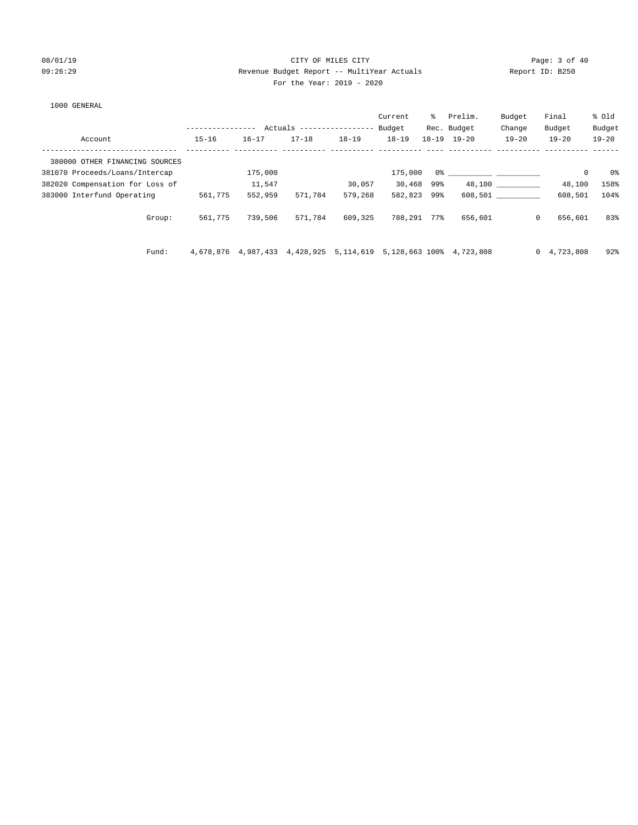# 08/01/19 Page: 3 of 40 09:26:29 Revenue Budget Report -- MultiYear Actuals Report ID: B250 For the Year: 2019 - 2020

### 1000 GENERAL

|                                 |                  |                     |                           |           | Current     | ႜႜၟ | Prelim.                                                                                                                                                                                                                       | Budget       | Final          | % old     |
|---------------------------------|------------------|---------------------|---------------------------|-----------|-------------|-----|-------------------------------------------------------------------------------------------------------------------------------------------------------------------------------------------------------------------------------|--------------|----------------|-----------|
|                                 | ---------------- |                     | Actuals ----------------- |           | Budget      |     | Rec. Budget                                                                                                                                                                                                                   | Change       | Budget         | Budget    |
| Account                         | $15 - 16$        | $16 - 17$           | $17 - 18$                 | $18 - 19$ | $18 - 19$   |     | $18 - 19$ $19 - 20$                                                                                                                                                                                                           | $19 - 20$    | $19 - 20$      | $19 - 20$ |
| 380000 OTHER FINANCING SOURCES  |                  |                     |                           |           |             |     |                                                                                                                                                                                                                               |              |                |           |
| 381070 Proceeds/Loans/Intercap  |                  | 175,000             |                           |           | 175,000     |     | 0.3 - 0.3 - 0.3 - 0.3 - 0.3 - 0.3 - 0.3 - 0.3 - 0.3 - 0.3 - 0.3 - 0.3 - 0.3 - 0.3 - 0.3 - 0.3 - 0.3 - 0.3 - 0.3 - 0.3 - 0.3 - 0.3 - 0.3 - 0.3 - 0.3 - 0.3 - 0.3 - 0.3 - 0.3 - 0.3 - 0.3 - 0.3 - 0.3 - 0.3 - 0.3 - 0.3 - 0.3 - |              | $\mathbf 0$    | 0%        |
| 382020 Compensation for Loss of |                  | 11,547              |                           | 30,057    | 30,468 99%  |     |                                                                                                                                                                                                                               | 48,100       | 48,100         | 158%      |
| 383000 Interfund Operating      | 561,775          | 552,959             | 571,784                   | 579,268   | 582,823 99% |     |                                                                                                                                                                                                                               | 608,501      | 608,501        | 104%      |
| Group:                          | 561,775          | 739,506             | 571,784                   | 609,325   | 788,291 77% |     | 656,601                                                                                                                                                                                                                       | $\mathbf{0}$ | 656,601        | 83%       |
| Fund:                           |                  | 4,678,876 4,987,433 | 4,428,925                 | 5,114,619 |             |     | 5,128,663 100% 4,723,808                                                                                                                                                                                                      |              | 0, 4, 723, 808 | 92%       |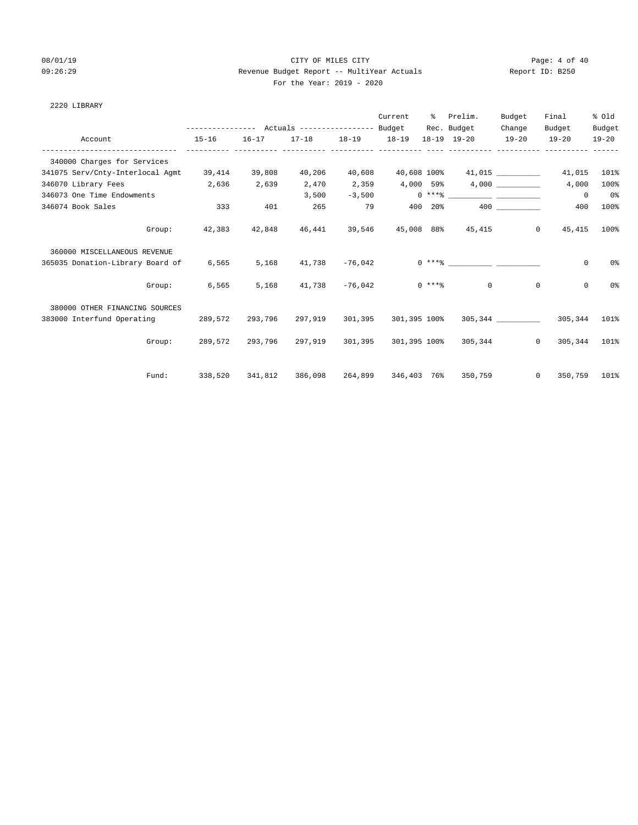2220 LIBRARY

# 08/01/19 Page: 4 of 40 09:26:29 Revenue Budget Report -- MultiYear Actuals Report ID: B250 For the Year: 2019 - 2020

|                                  |           |           |         |                   | Current      |                 | % Prelim.<br>Rec. Budget                                                                                                                                                                                                                                                                                                 | Budget<br>Change | Final<br>Budget | % old<br>Budget |
|----------------------------------|-----------|-----------|---------|-------------------|--------------|-----------------|--------------------------------------------------------------------------------------------------------------------------------------------------------------------------------------------------------------------------------------------------------------------------------------------------------------------------|------------------|-----------------|-----------------|
| Account                          | $15 - 16$ | $16 - 17$ |         | 17-18 18-19 18-19 |              |                 | 18-19 19-20                                                                                                                                                                                                                                                                                                              | $19-20$          | $19 - 20$       | $19 - 20$       |
| 340000 Charges for Services      |           |           |         |                   |              |                 |                                                                                                                                                                                                                                                                                                                          |                  |                 |                 |
| 341075 Serv/Cnty-Interlocal Agmt | 39,414    | 39,808    | 40,206  | 40,608            | 40,608 100%  |                 |                                                                                                                                                                                                                                                                                                                          | 41,015           | 41,015          | 101%            |
| 346070 Library Fees<br>2,636     |           | 2,639     | 2,470   | 2,359             |              |                 |                                                                                                                                                                                                                                                                                                                          |                  | 4,000           | 100%            |
| 346073 One Time Endowments       |           |           | 3,500   | $-3,500$          |              |                 | $0***$ $\frac{1}{2}$ $\frac{1}{2}$ $\frac{1}{2}$ $\frac{1}{2}$ $\frac{1}{2}$ $\frac{1}{2}$ $\frac{1}{2}$ $\frac{1}{2}$ $\frac{1}{2}$ $\frac{1}{2}$ $\frac{1}{2}$ $\frac{1}{2}$ $\frac{1}{2}$ $\frac{1}{2}$ $\frac{1}{2}$ $\frac{1}{2}$ $\frac{1}{2}$ $\frac{1}{2}$ $\frac{1}{2}$ $\frac{1}{2}$ $\frac{1}{2}$ $\frac{1}{$ |                  | $\Omega$        | 0 <sup>8</sup>  |
| 346074 Book Sales                | 333       | 401       | 265     | 79                | 400          | 20 <sup>8</sup> |                                                                                                                                                                                                                                                                                                                          | 400 000          | 400             | 100%            |
| Group:                           | 42,383    | 42,848    | 46,441  | 39,546            |              |                 | 45,008 88% 45,415                                                                                                                                                                                                                                                                                                        | $\Omega$         | 45,415          | 100%            |
| 360000 MISCELLANEOUS REVENUE     |           |           |         |                   |              |                 |                                                                                                                                                                                                                                                                                                                          |                  |                 |                 |
| 365035 Donation-Library Board of | 6,565     | 5,168     | 41,738  | $-76,042$         |              |                 | $0 \times + *$ 8                                                                                                                                                                                                                                                                                                         |                  | 0               | 0 <sup>o</sup>  |
| Group:                           | 6,565     | 5,168     |         |                   |              |                 | $41,738$ $-76,042$ 0 ****                                                                                                                                                                                                                                                                                                | $\Omega$         | $\Omega$        | 0 <sup>o</sup>  |
| 380000 OTHER FINANCING SOURCES   |           |           |         |                   |              |                 |                                                                                                                                                                                                                                                                                                                          |                  |                 |                 |
| 383000 Interfund Operating       | 289,572   | 293,796   | 297,919 | 301,395           | 301,395 100% |                 |                                                                                                                                                                                                                                                                                                                          | 305,344          | 305,344         | 101%            |
| Group:                           | 289,572   | 293,796   | 297,919 | 301,395           |              |                 | 301,395 100% 305,344                                                                                                                                                                                                                                                                                                     | $\overline{0}$   | 305,344         | 101%            |
| Fund:                            | 338,520   | 341,812   | 386,098 | 264,899           | 346,403 76%  |                 | 350,759                                                                                                                                                                                                                                                                                                                  | $\Omega$         | 350,759         | 101%            |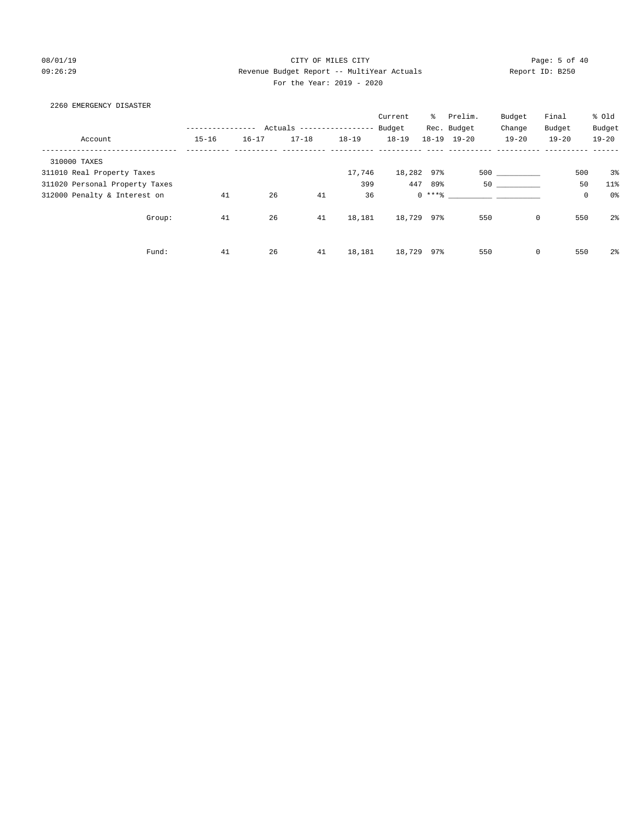# 08/01/19 Page: 5 of 40 09:26:29 Revenue Budget Report -- MultiYear Actuals Report ID: B250 For the Year: 2019 - 2020

### 2260 EMERGENCY DISASTER

|                                |           |           |                          |           | Current    | ႜႜႜ     | Prelim.             | Budget      | Final               | % Old          |
|--------------------------------|-----------|-----------|--------------------------|-----------|------------|---------|---------------------|-------------|---------------------|----------------|
|                                |           |           | Actuals ---------------- |           | Budget     |         | Rec. Budget         | Change      | Budget              | Budget         |
| Account                        | $15 - 16$ | $16 - 17$ | $17 - 18$                | $18 - 19$ | $18 - 19$  |         | $18 - 19$ $19 - 20$ | $19 - 20$   | $19 - 20$           | $19 - 20$      |
| 310000 TAXES                   |           |           |                          |           |            |         |                     |             |                     |                |
| 311010 Real Property Taxes     |           |           |                          | 17,746    | 18,282 97% |         |                     | 500 000     | 500                 | 3%             |
| 311020 Personal Property Taxes |           |           |                          | 399       | 447        | 89%     | 50                  |             | 50                  | $11$ %         |
| 312000 Penalty & Interest on   | 41        | 26        | 41                       | 36        |            | $0***8$ |                     |             | $\mathsf{O}\xspace$ | 0 <sup>o</sup> |
| Group:                         | 41        | 26        | 41                       | 18,181    | 18,729 97% |         | 550                 | $\mathbf 0$ | 550                 | 2 <sup>°</sup> |
| Fund:                          | 41        | 26        | 41                       | 18,181    | 18,729     | 97%     | 550                 | $\mathbf 0$ | 550                 | 2 <sup>°</sup> |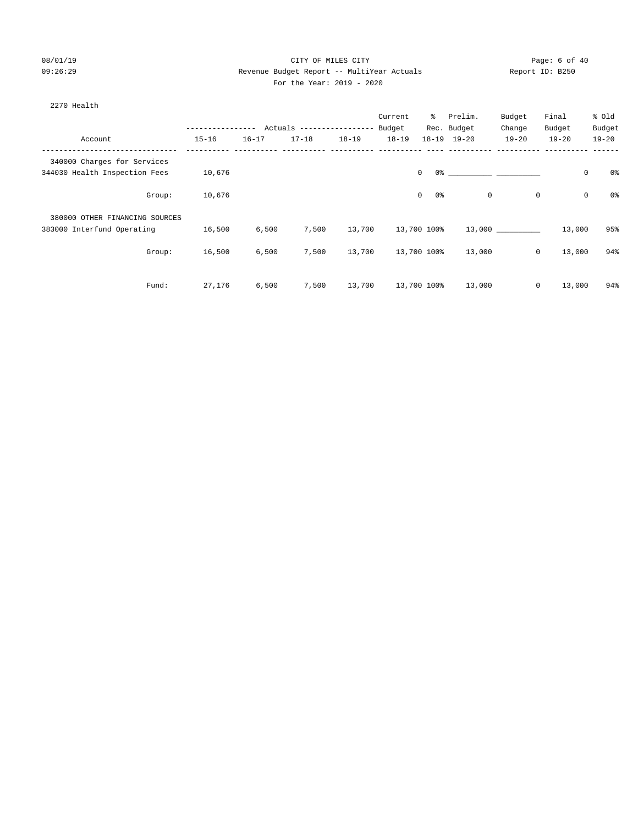# 08/01/19 Page: 6 of 40 09:26:29 Revenue Budget Report -- MultiYear Actuals Report ID: B250 For the Year: 2019 - 2020

| 2270 Health |
|-------------|
|             |

|                                |                |           |                          |           | Current   | ⊱                    | Prelim.     | Budget      | Final        |             | % Old          |
|--------------------------------|----------------|-----------|--------------------------|-----------|-----------|----------------------|-------------|-------------|--------------|-------------|----------------|
|                                | -------------- |           | Actuals ---------------- |           | Budget    |                      | Rec. Budget | Change      | Budget       |             | Budget         |
| Account                        | $15 - 16$      | $16 - 17$ | $17 - 18$                | $18 - 19$ | $18 - 19$ | $18 - 19$            | $19 - 20$   | $19 - 20$   | $19 - 20$    |             | $19 - 20$      |
| 340000 Charges for Services    |                |           |                          |           |           |                      |             |             |              |             |                |
| 344030 Health Inspection Fees  | 10,676         |           |                          |           |           | $\mathbf 0$          |             |             |              | 0           | 0 <sup>8</sup> |
| Group:                         | 10,676         |           |                          |           |           | $\mathbf 0$<br>$0\,$ |             | $\mathbf 0$ | 0            | $\mathsf 0$ | 0%             |
| 380000 OTHER FINANCING SOURCES |                |           |                          |           |           |                      |             |             |              |             |                |
| 383000 Interfund Operating     | 16,500         | 6,500     | 7,500                    | 13,700    |           | 13,700 100%          |             | 13,000      |              | 13,000      | 95%            |
| Group:                         | 16,500         | 6,500     | 7,500                    | 13,700    |           | 13,700 100%          | 13,000      |             | $\mathsf{O}$ | 13,000      | 94%            |
| Fund:                          | 27,176         | 6,500     | 7,500                    | 13,700    |           | 13,700 100%          | 13,000      |             | $\mathsf{O}$ | 13,000      | 94%            |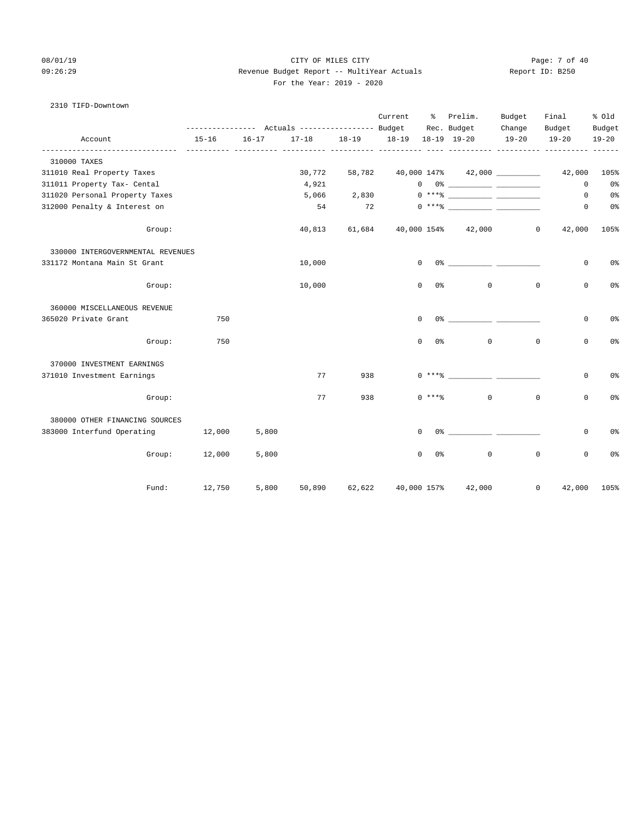# 08/01/19 Page: 7 of 40 09:26:29 Revenue Budget Report -- MultiYear Actuals Report ID: B250 For the Year: 2019 - 2020

# 2310 TIFD-Downtown

|                                   |        |            |           | --------------- Actuals ---------------- Budget |           | Current   | ႜႜၟ                        | Prelim.<br>Rec. Budget                                                                                                                                                                                                                                                                                                                                              | Budget<br>Change | Final<br>Budget | % old<br>Budget |
|-----------------------------------|--------|------------|-----------|-------------------------------------------------|-----------|-----------|----------------------------|---------------------------------------------------------------------------------------------------------------------------------------------------------------------------------------------------------------------------------------------------------------------------------------------------------------------------------------------------------------------|------------------|-----------------|-----------------|
| Account                           |        | $15 - 16$  | $16 - 17$ | $17 - 18$                                       | $18 - 19$ | $18 - 19$ |                            | 18-19 19-20                                                                                                                                                                                                                                                                                                                                                         | $19 - 20$        | $19 - 20$       | $19 - 20$       |
| 310000 TAXES                      |        | ---------- |           |                                                 |           |           |                            | -- ----------- ---------- -----                                                                                                                                                                                                                                                                                                                                     |                  |                 |                 |
| 311010 Real Property Taxes        |        |            |           | 30,772                                          | 58,782    |           |                            | $40,000$ $147\%$ $42,000$ _________                                                                                                                                                                                                                                                                                                                                 |                  | 42,000          | 105%            |
| 311011 Property Tax- Cental       |        |            |           | 4,921                                           |           |           |                            | $\begin{picture}(150,10) \put(0,0){\vector(1,0){100}} \put(15,0){\vector(1,0){100}} \put(15,0){\vector(1,0){100}} \put(15,0){\vector(1,0){100}} \put(15,0){\vector(1,0){100}} \put(15,0){\vector(1,0){100}} \put(15,0){\vector(1,0){100}} \put(15,0){\vector(1,0){100}} \put(15,0){\vector(1,0){100}} \put(15,0){\vector(1,0){100}} \put(15,0){\vector(1,0){100}}$  |                  | $\mathbf 0$     | 0 <sup>8</sup>  |
| 311020 Personal Property Taxes    |        |            |           | 5,066                                           | 2,830     |           |                            | $\begin{picture}(20,20) \put(0,0){\vector(1,0){100}} \put(15,0){\vector(1,0){100}} \put(15,0){\vector(1,0){100}} \put(15,0){\vector(1,0){100}} \put(15,0){\vector(1,0){100}} \put(15,0){\vector(1,0){100}} \put(15,0){\vector(1,0){100}} \put(15,0){\vector(1,0){100}} \put(15,0){\vector(1,0){100}} \put(15,0){\vector(1,0){100}} \put(15,0){\vector(1,0){100}} \$ |                  | $\circ$         | 0 <sup>o</sup>  |
| 312000 Penalty & Interest on      |        |            |           | 54                                              | 72        |           |                            |                                                                                                                                                                                                                                                                                                                                                                     |                  | $\mathbf{0}$    | 0%              |
|                                   | Group: |            |           | 40,813                                          | 61,684    |           |                            | 40,000 154% 42,000                                                                                                                                                                                                                                                                                                                                                  | $\circ$          | 42,000          | 105%            |
| 330000 INTERGOVERNMENTAL REVENUES |        |            |           |                                                 |           |           |                            |                                                                                                                                                                                                                                                                                                                                                                     |                  |                 |                 |
| 331172 Montana Main St Grant      |        |            |           | 10,000                                          |           |           | $\Omega$                   | $0$ $\frac{1}{2}$ $\frac{1}{2}$ $\frac{1}{2}$ $\frac{1}{2}$ $\frac{1}{2}$ $\frac{1}{2}$ $\frac{1}{2}$ $\frac{1}{2}$ $\frac{1}{2}$ $\frac{1}{2}$ $\frac{1}{2}$ $\frac{1}{2}$ $\frac{1}{2}$ $\frac{1}{2}$ $\frac{1}{2}$ $\frac{1}{2}$ $\frac{1}{2}$ $\frac{1}{2}$ $\frac{1}{2}$ $\frac{1}{2}$ $\frac{1}{2}$ $\frac{1}{2$                                              |                  | 0               | 0%              |
|                                   | Group: |            |           | 10,000                                          |           |           | 0 응<br>$\mathbf 0$         | $\mathbf 0$                                                                                                                                                                                                                                                                                                                                                         | $\mathbf 0$      | 0               | 0%              |
| 360000 MISCELLANEOUS REVENUE      |        |            |           |                                                 |           |           |                            |                                                                                                                                                                                                                                                                                                                                                                     |                  |                 |                 |
| 365020 Private Grant              |        | 750        |           |                                                 |           |           | $\mathbf 0$                |                                                                                                                                                                                                                                                                                                                                                                     |                  | $\mathbf 0$     | 0%              |
|                                   | Group: | 750        |           |                                                 |           |           | $\Omega$<br>0%             | $\mathbf{0}$                                                                                                                                                                                                                                                                                                                                                        | $\mathbf 0$      | $\mathbf 0$     | 0%              |
| 370000 INVESTMENT EARNINGS        |        |            |           |                                                 |           |           |                            |                                                                                                                                                                                                                                                                                                                                                                     |                  |                 |                 |
| 371010 Investment Earnings        |        |            |           | 77                                              | 938       |           | $0$ *** $8$                | and the same                                                                                                                                                                                                                                                                                                                                                        |                  | 0               | 0 <sup>o</sup>  |
|                                   | Group: |            |           | 77                                              | 938       |           | $0$ ****                   | $\Omega$                                                                                                                                                                                                                                                                                                                                                            | $\Omega$         | $\mathbf 0$     | 0%              |
| 380000 OTHER FINANCING SOURCES    |        |            |           |                                                 |           |           |                            |                                                                                                                                                                                                                                                                                                                                                                     |                  |                 |                 |
| 383000 Interfund Operating        |        | 12,000     | 5,800     |                                                 |           |           | $\mathbf 0$                | $0$ 왕 아이는 아이에게 아이를 하지 않는다.                                                                                                                                                                                                                                                                                                                                          |                  | 0               | 0%              |
|                                   | Group: | 12,000     | 5,800     |                                                 |           |           | $\Omega$<br>0 <sup>°</sup> | $\mathbf 0$                                                                                                                                                                                                                                                                                                                                                         | $\mathbf 0$      | $\mathbf 0$     | 0 <sup>°</sup>  |
|                                   | Fund:  | 12,750     | 5,800     | 50,890                                          | 62,622    |           | 40,000 157%                | 42,000                                                                                                                                                                                                                                                                                                                                                              |                  | 0<br>42,000     | 105%            |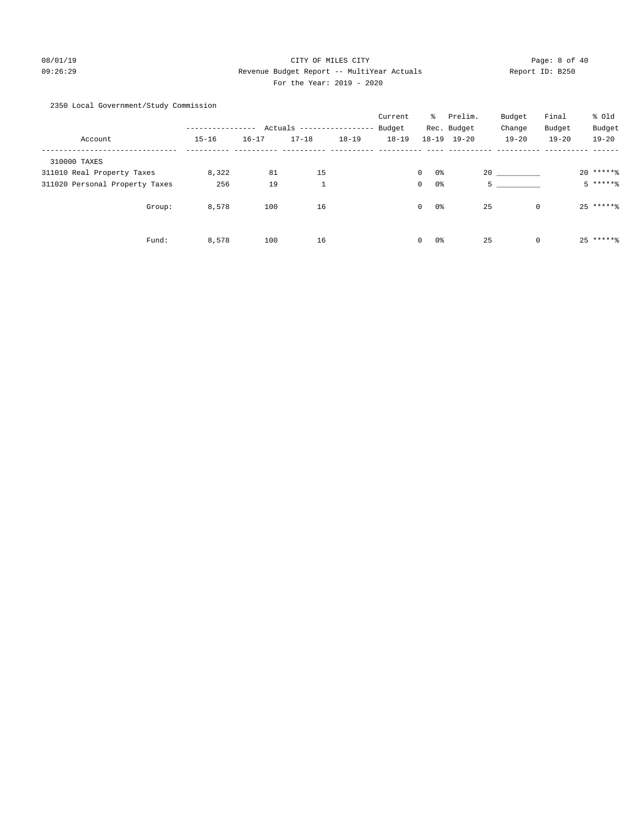# 08/01/19 Page: 8 of 40 09:26:29 Revenue Budget Report -- MultiYear Actuals Report ID: B250 For the Year: 2019 - 2020

# 2350 Local Government/Study Commission

|                                |           |           |                          |           | Current   | ႜၟ                 | Prelim.     | Budget            | Final     | % Old     |
|--------------------------------|-----------|-----------|--------------------------|-----------|-----------|--------------------|-------------|-------------------|-----------|-----------|
|                                |           |           | Actuals ---------------- |           | Budget    |                    | Rec. Budget | Change            | Budget    | Budget    |
| Account                        | $15 - 16$ | $16 - 17$ | $17 - 18$                | $18 - 19$ | $18 - 19$ | $18 - 19$          | $19 - 20$   | $19 - 20$         | $19 - 20$ | $19 - 20$ |
| 310000 TAXES                   |           |           |                          |           |           |                    |             |                   |           |           |
| 311010 Real Property Taxes     | 8,322     | 81        | 15                       |           |           | $\mathbf{0}$<br>0% |             | 20                |           | $20*****$ |
| 311020 Personal Property Taxes | 256       | 19        | $\mathbf{1}$             |           |           | 0%<br>$\circ$      |             | 5                 |           | $5****8$  |
| Group:                         | 8,578     | 100       | 16                       |           |           | $\mathbf{0}$<br>0% |             | 25<br>$\mathbf 0$ |           | $25****$  |
| Fund:                          | 8,578     | 100       | 16                       |           |           | $\mathbf{0}$<br>0% |             | 25<br>$\mathbf 0$ |           | $25****$  |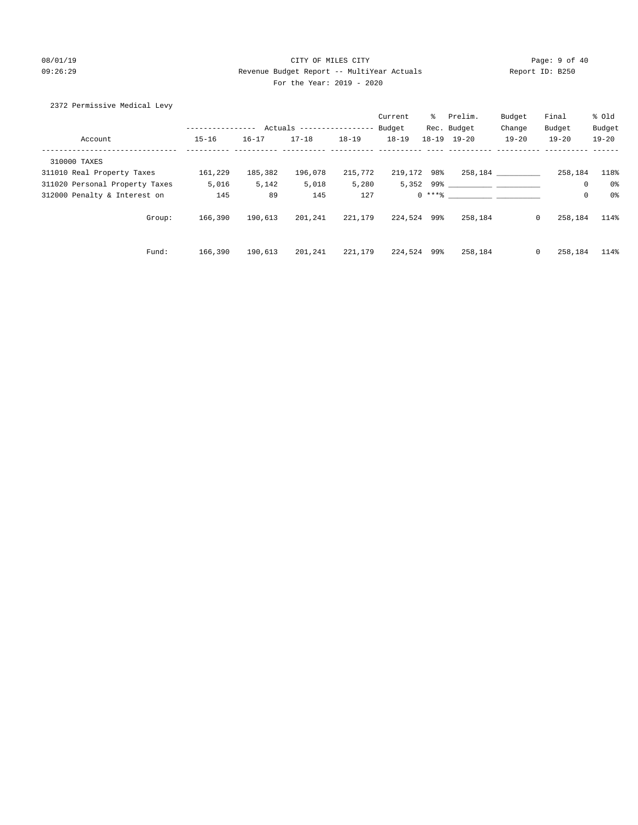# 08/01/19 CITY OF MILES CITY CHANNEL CITY CHANNEL CONTROLLER Page: 9 of 40 09:26:29 Revenue Budget Report -- MultiYear Actuals Report ID: B250 For the Year: 2019 - 2020

### 2372 Permissive Medical Levy

|                                |               |           |                            |           | Current     | ႜႜၟ | Prelim.             | Budget       | Final     | % old     |
|--------------------------------|---------------|-----------|----------------------------|-----------|-------------|-----|---------------------|--------------|-----------|-----------|
|                                | ------------- |           | Actuals ------------------ |           | Budget      |     | Rec. Budget         | Change       | Budget    | Budget    |
| Account                        | $15 - 16$     | $16 - 17$ | $17 - 18$                  | $18 - 19$ | $18 - 19$   |     | $18 - 19$ $19 - 20$ | $19 - 20$    | $19 - 20$ | $19 - 20$ |
| 310000 TAXES                   |               |           |                            |           |             |     |                     |              |           |           |
| 311010 Real Property Taxes     | 161,229       | 185,382   | 196,078                    | 215,772   | 219,172 98% |     |                     |              | 258,184   | 118%      |
| 311020 Personal Property Taxes | 5,016         | 5,142     | 5,018                      | 5,280     |             |     | $5,352$ 99%         |              | $\circ$   | 0%        |
| 312000 Penalty & Interest on   | 145           | 89        | 145                        | 127       |             |     | $0 \times + *$ $*$  |              | 0         | 0%        |
| Group:                         | 166,390       | 190,613   | 201,241                    | 221,179   | 224,524 99% |     | 258,184             | $\mathbf{0}$ | 258,184   | 114%      |
| Fund:                          | 166,390       | 190,613   | 201,241                    | 221,179   | 224,524 99% |     | 258,184             | $\mathbf{0}$ | 258,184   | 114%      |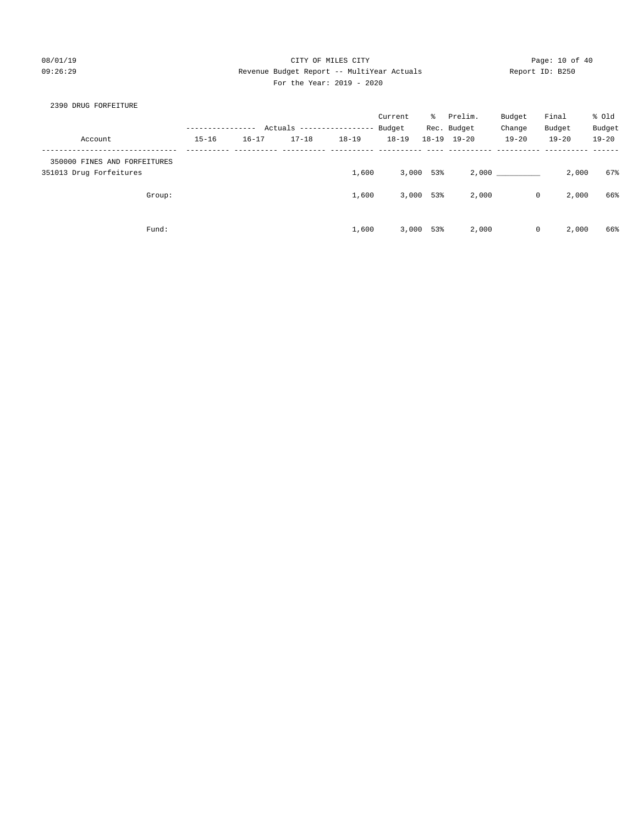# 08/01/19 Page: 10 of 40 09:26:29 Revenue Budget Report -- MultiYear Actuals Report ID: B250 For the Year: 2019 - 2020

### 2390 DRUG FORFEITURE

|                                                         |           |           |                           |           | Current   | ႜႜၟ | Prelim.             | Budget    | Final     | % Old     |
|---------------------------------------------------------|-----------|-----------|---------------------------|-----------|-----------|-----|---------------------|-----------|-----------|-----------|
|                                                         |           |           | Actuals ----------------- |           | Budget    |     | Rec. Budget         | Change    | Budget    | Budget    |
| Account                                                 | $15 - 16$ | $16 - 17$ | $17 - 18$                 | $18 - 19$ | $18 - 19$ |     | $18 - 19$ $19 - 20$ | $19 - 20$ | $19 - 20$ | $19 - 20$ |
| 350000 FINES AND FORFEITURES<br>351013 Drug Forfeitures |           |           |                           | 1,600     | 3,000     | 53% | 2,000               |           | 2,000     | 67%       |
| Group:                                                  |           |           |                           | 1,600     | 3,000     | 53% | 2,000               | 0         | 2,000     | 66%       |
| Fund:                                                   |           |           |                           | 1,600     | 3,000     | 53% | 2,000               | 0         | 2,000     | 66%       |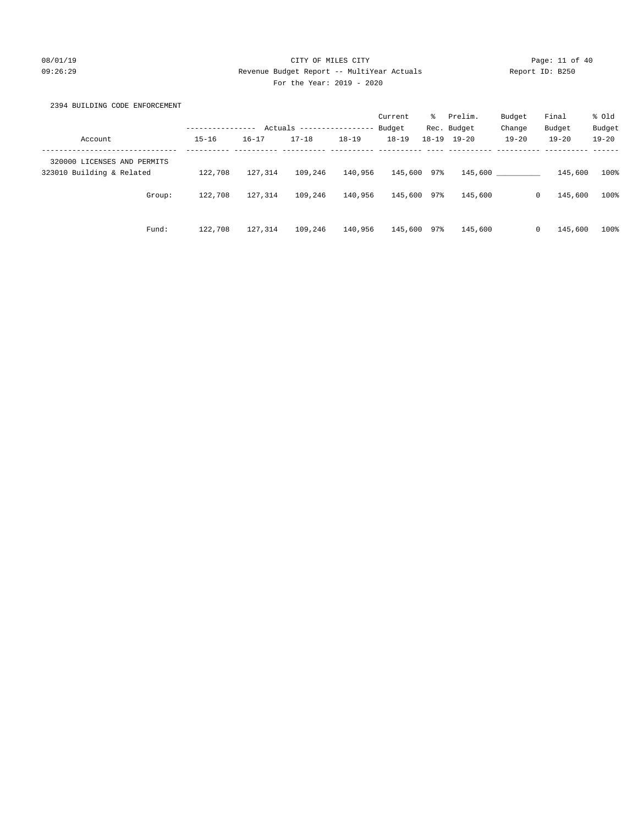# 08/01/19 Page: 11 of 40 09:26:29 Revenue Budget Report -- MultiYear Actuals Report ID: B250 For the Year: 2019 - 2020

# 2394 BUILDING CODE ENFORCEMENT

|                             |                  |           |           |                  | Current     | ⊱   | Prelim.             | Budget    | Final                  | % old     |
|-----------------------------|------------------|-----------|-----------|------------------|-------------|-----|---------------------|-----------|------------------------|-----------|
|                             | ---------------- | Actuals   |           | ---------------- | Budget      |     | Rec. Budget         | Change    | Budget                 | Budget    |
| Account                     | $15 - 16$        | $16 - 17$ | $17 - 18$ | $18 - 19$        | $18 - 19$   |     | $18 - 19$ $19 - 20$ | $19 - 20$ | $19 - 20$              | $19 - 20$ |
| 320000 LICENSES AND PERMITS |                  |           |           |                  |             |     |                     |           |                        |           |
| 323010 Building & Related   | 122,708          | 127,314   | 109,246   | 140,956          | 145,600 97% |     | 145,600             |           | 145,600                | 100%      |
| Group:                      | 122,708          | 127,314   | 109,246   | 140,956          | 145,600 97% |     | 145,600             |           | 145,600<br>$\circ$     | 100%      |
| Fund:                       | 122,708          | 127,314   | 109,246   | 140,956          | 145,600     | 97% | 145,600             |           | 145,600<br>$\mathbf 0$ | 100%      |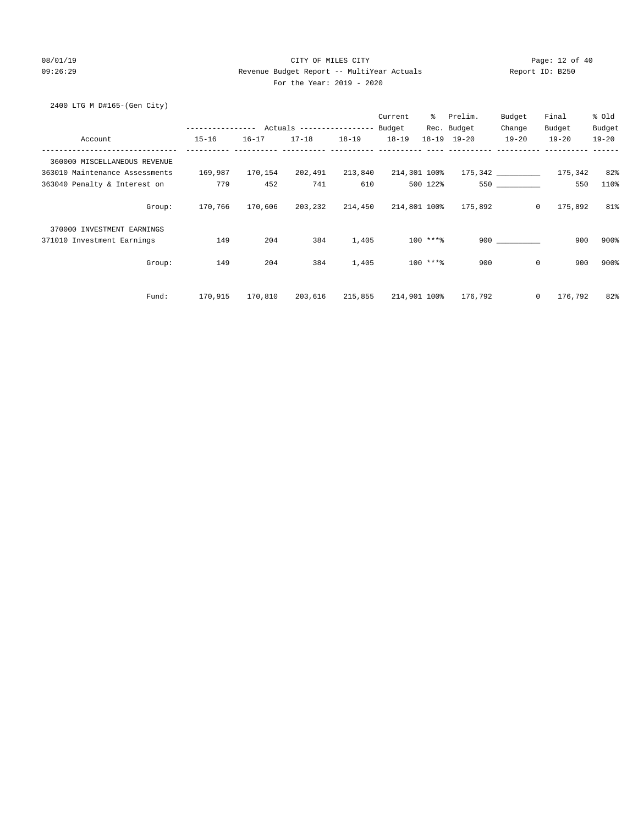# 08/01/19 Page: 12 of 40 09:26:29 Revenue Budget Report -- MultiYear Actuals Report ID: B250 For the Year: 2019 - 2020

2400 LTG M D#165-(Gen City)

|                                |                  |           |                                  |           | Current      | ွေ        | Prelim.     | Budget       | Final              | % Old     |
|--------------------------------|------------------|-----------|----------------------------------|-----------|--------------|-----------|-------------|--------------|--------------------|-----------|
|                                | ---------------- |           | Actuals ----------------- Budget |           |              |           | Rec. Budget | Change       | Budget             | Budget    |
| Account                        | $15 - 16$        | $16 - 17$ | $17 - 18$                        | $18 - 19$ | $18 - 19$    |           | 18-19 19-20 | $19 - 20$    | $19 - 20$          | $19 - 20$ |
| 360000 MISCELLANEOUS REVENUE   |                  |           |                                  |           |              |           |             |              |                    |           |
| 363010 Maintenance Assessments | 169,987          | 170,154   | 202,491                          | 213,840   | 214,301 100% |           |             |              |                    | 82%       |
| 363040 Penalty & Interest on   | 779              | 452       | 741                              | 610       |              | 500 122%  |             | 550 350      | 550                | 110%      |
| Group:                         | 170,766          | 170,606   | 203,232                          | 214,450   | 214,801 100% |           | 175,892     |              | 175,892<br>$\circ$ | 81%       |
| 370000 INVESTMENT EARNINGS     |                  |           |                                  |           |              |           |             |              |                    |           |
| 371010 Investment Earnings     | 149              | 204       | 384                              | 1,405     |              | $100***$  |             | 900          | 900                | 900%      |
| Group:                         | 149              | 204       | 384                              | 1,405     |              | $100***8$ | 900         |              | $\mathbf 0$<br>900 | 900%      |
| Fund:                          | 170,915          | 170,810   | 203,616                          | 215,855   | 214,901 100% |           | 176,792     | $\mathbf{0}$ | 176,792            | 82%       |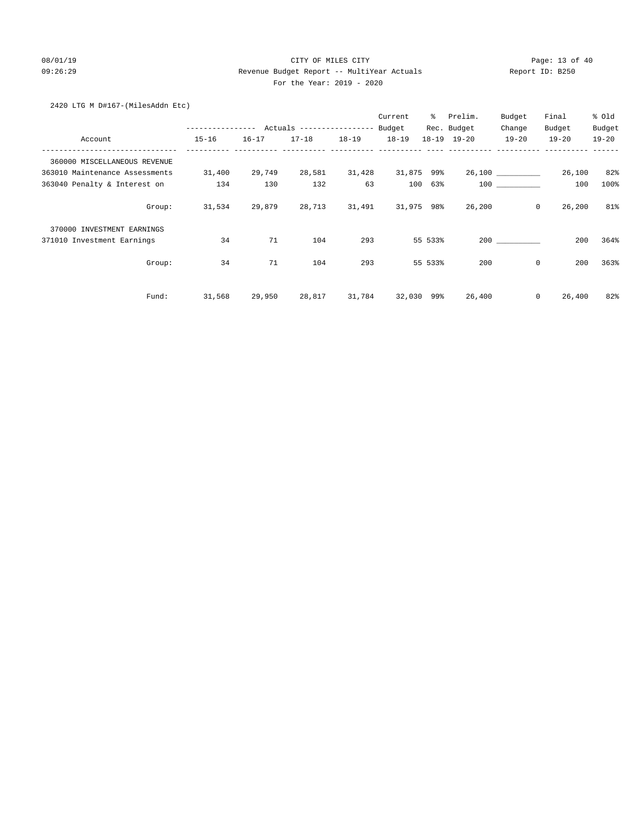# 08/01/19 Page: 13 of 40 09:26:29 Revenue Budget Report -- MultiYear Actuals Report ID: B250 For the Year: 2019 - 2020

# 2420 LTG M D#167-(MilesAddn Etc)

|                                |                                            |           |           |           | Current    | $\approx$ | Prelim.     | Budget            | Final     | % old     |
|--------------------------------|--------------------------------------------|-----------|-----------|-----------|------------|-----------|-------------|-------------------|-----------|-----------|
|                                | ---------------- Actuals ----------------- |           |           |           | Budget     |           | Rec. Budget | Change            | Budget    | Budget    |
| Account                        | $15 - 16$                                  | $16 - 17$ | $17 - 18$ | $18 - 19$ | $18 - 19$  |           | 18-19 19-20 | $19 - 20$         | $19 - 20$ | $19 - 20$ |
| 360000 MISCELLANEOUS REVENUE   |                                            |           |           |           |            |           |             |                   |           |           |
| 363010 Maintenance Assessments | 31,400                                     | 29,749    | 28,581    | 31,428    | 31,875 99% |           |             | 26,100 __________ | 26,100    | 82%       |
| 363040 Penalty & Interest on   | 134                                        | 130       | 132       | 63        | 100        | 63%       |             | 100 000           | 100       | 100%      |
| Group:                         | 31,534                                     | 29,879    | 28,713    | 31,491    | 31,975 98% |           | 26,200      | $\circ$           | 26,200    | 81%       |
| 370000 INVESTMENT EARNINGS     |                                            |           |           |           |            |           |             |                   |           |           |
| 371010 Investment Earnings     | 34                                         | 71        | 104       | 293       |            | 55 533%   |             | 200               | 200       | 364%      |
| Group:                         | 34                                         | 71        | 104       | 293       |            | 55 533%   | 200         | 0                 | 200       | 363%      |
| Fund:                          | 31,568                                     | 29,950    | 28,817    | 31,784    | 32,030     | 99%       | 26,400      | 0                 | 26,400    | 82%       |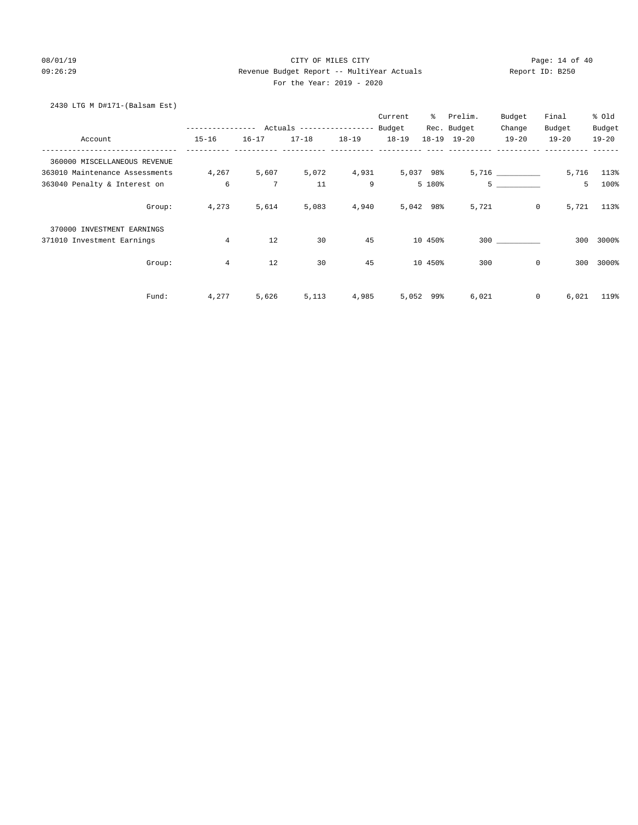### 08/01/19 Page: 14 of 40 09:26:29 Revenue Budget Report -- MultiYear Actuals Report ID: B250 For the Year: 2019 - 2020

# 2430 LTG M D#171-(Balsam Est)

|                                |                  |                 |                           |           | Current   | ွေ        | Prelim.             | Budget         | Final     | % Old      |
|--------------------------------|------------------|-----------------|---------------------------|-----------|-----------|-----------|---------------------|----------------|-----------|------------|
|                                | ---------------- |                 | Actuals ----------------- |           | Budget    |           | Rec. Budget         | Change         | Budget    | Budget     |
| Account                        | $15 - 16$        | $16 - 17$       | $17 - 18$                 | $18 - 19$ | $18 - 19$ |           | $18 - 19$ $19 - 20$ | $19 - 20$      | $19 - 20$ | $19 - 20$  |
| 360000 MISCELLANEOUS REVENUE   |                  |                 |                           |           |           |           |                     |                |           |            |
| 363010 Maintenance Assessments | 4,267            | 5,607           | 5,072                     | 4,931     |           | 5,037 98% |                     | 5,716          |           | 5,716 113% |
| 363040 Penalty & Interest on   | 6                | $7\phantom{.0}$ | 11                        | 9         |           | 5 180%    |                     | 5 <sub>5</sub> | 5         | 100%       |
| Group:                         | 4,273            | 5,614           | 5,083                     | 4,940     |           | 5,042 98% | 5,721               | $\overline{0}$ | 5,721     | 113%       |
| 370000 INVESTMENT EARNINGS     |                  |                 |                           |           |           |           |                     |                |           |            |
| 371010 Investment Earnings     | $\overline{4}$   | 12              | 30                        | 45        |           | 10 450%   |                     | 300            | 300       | 3000%      |
| Group:                         | $\overline{4}$   | 12              | 30                        | 45        |           | 10 450%   | 300                 | $\mathbf 0$    | 300       | 3000%      |
| Fund:                          | 4,277            | 5,626           | 5,113                     | 4,985     | 5,052     | 99%       | 6,021               | 0              | 6,021     | 119%       |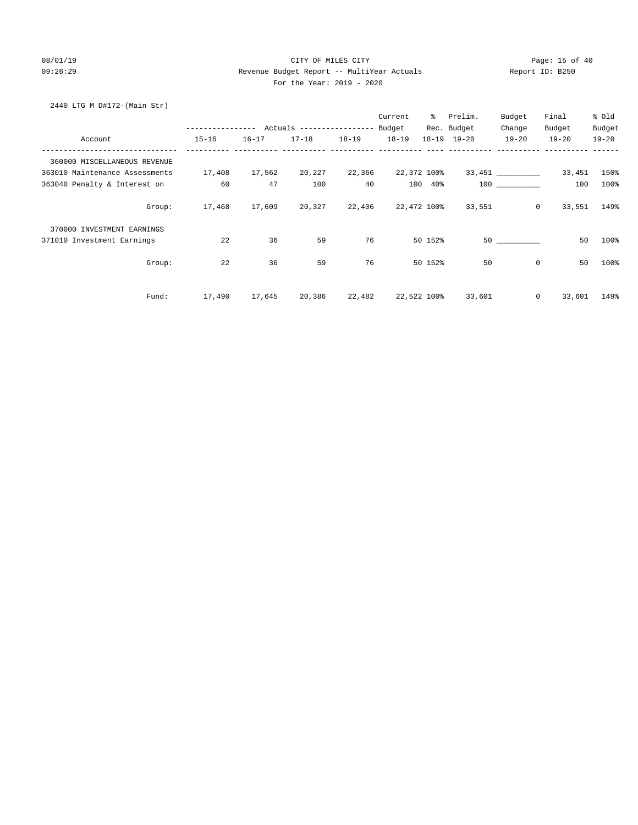### 08/01/19 Page: 15 of 40 09:26:29 Revenue Budget Report -- MultiYear Actuals Report ID: B250 For the Year: 2019 - 2020

# 2440 LTG M D#172-(Main Str)

|                                |        |           |               |           |           | Current   | ႜႜႜၟ        | Prelim.                   | Budget            | Final             | % Old     |
|--------------------------------|--------|-----------|---------------|-----------|-----------|-----------|-------------|---------------------------|-------------------|-------------------|-----------|
|                                |        |           |               |           |           |           |             | Rec. Budget               | Change            | Budget            | Budget    |
| Account                        |        | $15 - 16$ | $16 - 17$     | $17 - 18$ | $18 - 19$ | $18 - 19$ |             | 18-19 19-20               | $19 - 20$         | $19 - 20$         | $19 - 20$ |
| 360000 MISCELLANEOUS REVENUE   |        |           |               |           |           |           |             |                           |                   |                   |           |
| 363010 Maintenance Assessments |        | 17,408    | 17,562        | 20,227    | 22,366    |           | 22,372 100% |                           | 33,451 __________ | 33,451            | 150%      |
| 363040 Penalty & Interest on   |        | 60        | 47            | 100       | 40        |           | 100 40%     |                           | 100 000           | 100               | 100%      |
|                                | Group: |           | 17,468 17,609 | 20,327    |           |           |             | 22,406 22,472 100% 33,551 |                   | $\circ$<br>33,551 | 149%      |
| 370000 INVESTMENT EARNINGS     |        |           |               |           |           |           |             |                           |                   |                   |           |
| 371010 Investment Earnings     |        | 22        | 36            | 59        | 76        |           | 50 152%     |                           | 50                | 50                | 100%      |
|                                | Group: | 22        | 36            | 59        | 76        |           | 50 152%     | 50                        | $\mathbf 0$       | 50                | 100%      |
|                                | Fund:  | 17,490    | 17,645        | 20,386    | 22,482    |           | 22,522 100% | 33,601                    |                   | $\circ$<br>33,601 | 149%      |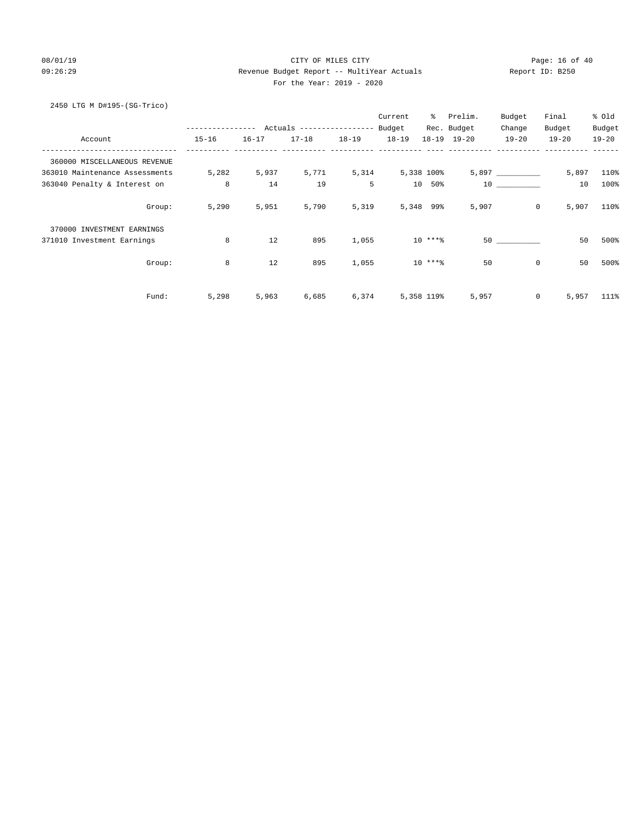# 08/01/19 Page: 16 of 40 09:26:29 Revenue Budget Report -- MultiYear Actuals Report ID: B250 For the Year: 2019 - 2020

# 2450 LTG M D#195-(SG-Trico)

|                                |        |               |           |                           |           | Current    | $\approx$   | Prelim.             | Budget             | Final                   | % Old     |
|--------------------------------|--------|---------------|-----------|---------------------------|-----------|------------|-------------|---------------------|--------------------|-------------------------|-----------|
|                                |        | ------------- |           | Actuals ----------------- |           | Budget     |             | Rec. Budget         | Change             | Budget                  | Budget    |
| Account                        |        | $15 - 16$     | $16 - 17$ | $17 - 18$                 | $18 - 19$ | $18 - 19$  |             | $18 - 19$ $19 - 20$ | $19 - 20$          | $19 - 20$               | $19 - 20$ |
| 360000 MISCELLANEOUS REVENUE   |        |               |           |                           |           |            |             |                     |                    |                         |           |
| 363010 Maintenance Assessments |        | 5,282         | 5,937     | 5,771                     | 5,314     | 5,338 100% |             |                     | $5,897$ __________ | 5,897                   | 110%      |
| 363040 Penalty & Interest on   |        | 8             | 14        | 19                        | 5         |            | 10 50%      |                     | 10                 | 10                      | 100%      |
|                                | Group: | 5,290         | 5,951     | 5,790                     | 5,319     |            | 5,348 99%   | 5,907               |                    | $\overline{0}$<br>5,907 | 110%      |
| 370000 INVESTMENT EARNINGS     |        |               |           |                           |           |            |             |                     |                    |                         |           |
| 371010 Investment Earnings     |        | 8             | 12        | 895                       | 1,055     |            | $10***8$    |                     | 50                 | 50                      | 500%      |
|                                | Group: | 8             | 12        | 895                       | 1,055     |            | $10***$ *** | 50                  |                    | $\mathbf 0$<br>50       | 500%      |
|                                | Fund:  | 5,298         | 5,963     | 6,685                     | 6,374     |            | 5,358 119%  | 5,957               |                    | 0<br>5,957              | 111%      |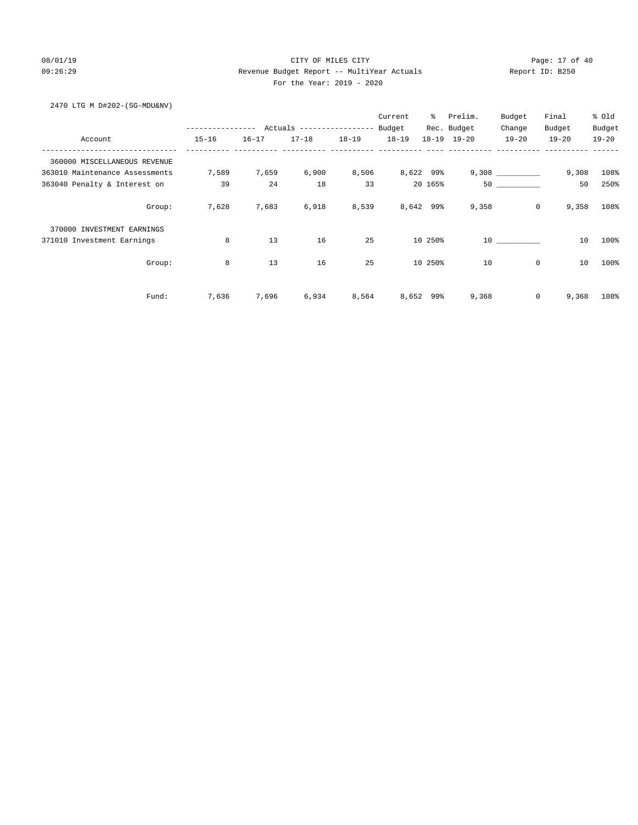# 08/01/19 Page: 17 of 40 09:26:29 Revenue Budget Report -- MultiYear Actuals Report ID: B250 For the Year: 2019 - 2020

2470 LTG M D#202-(SG-MDU&NV)

|                                |              |           |                           |           | Current   | ွေ        | Prelim.     | Budget    | Final                   | % Old     |
|--------------------------------|--------------|-----------|---------------------------|-----------|-----------|-----------|-------------|-----------|-------------------------|-----------|
|                                | ------------ |           | Actuals ----------------- |           | Budget    |           | Rec. Budget | Change    | Budget                  | Budget    |
| Account                        | $15 - 16$    | $16 - 17$ | $17 - 18$                 | $18 - 19$ | $18 - 19$ |           | 18-19 19-20 | $19 - 20$ | $19 - 20$               | $19 - 20$ |
| 360000 MISCELLANEOUS REVENUE   |              |           |                           |           |           |           |             |           |                         |           |
| 363010 Maintenance Assessments | 7,589        | 7,659     | 6,900                     | 8,506     |           | 8,622 99% |             |           | 9,308                   | 108%      |
| 363040 Penalty & Interest on   | 39           | 24        | 18                        | 33        |           | 20 165%   |             | 50        | 50                      | 250%      |
| Group:                         | 7,628        | 7,683     | 6,918                     | 8,539     |           | 8,642 99% | 9,358       |           | $\overline{0}$<br>9,358 | 108%      |
| 370000 INVESTMENT EARNINGS     |              |           |                           |           |           |           |             |           |                         |           |
| 371010 Investment Earnings     | 8            | 13        | 16                        | 25        |           | 10 250%   |             | 10        | 10                      | 100%      |
| Group:                         | 8            | 13        | 16                        | 25        |           | 10 250%   | 10          |           | $\mathbf 0$<br>10       | 100%      |
| Fund:                          | 7,636        | 7,696     | 6,934                     | 8,564     | 8,652     | 99%       | 9,368       |           | $\mathbf 0$<br>9,368    | 108%      |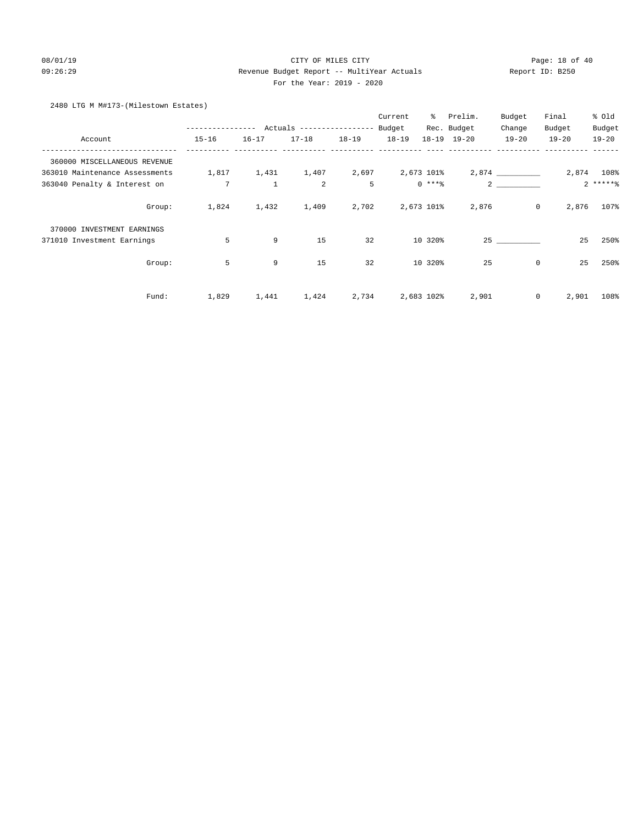# 08/01/19 Page: 18 of 40 09:26:29 Revenue Budget Report -- MultiYear Actuals Report ID: B250 For the Year: 2019 - 2020

# 2480 LTG M M#173-(Milestown Estates)

|                                |                 |              |                           |           | Current   | ႜ          | Prelim.             | Budget         | Final     | % Old      |
|--------------------------------|-----------------|--------------|---------------------------|-----------|-----------|------------|---------------------|----------------|-----------|------------|
|                                | -------------   |              | Actuals ----------------- |           | Budget    |            | Rec. Budget         | Change         | Budget    | Budget     |
| Account                        | $15 - 16$       | $16 - 17$    | $17 - 18$                 | $18 - 19$ | $18 - 19$ |            | $18 - 19$ $19 - 20$ | $19 - 20$      | $19 - 20$ | $19 - 20$  |
| 360000 MISCELLANEOUS REVENUE   |                 |              |                           |           |           |            |                     |                |           |            |
| 363010 Maintenance Assessments | 1,817           | 1,431        | 1,407                     | 2,697     |           | 2,673 101% |                     | 2,874          |           | 2,874 108% |
| 363040 Penalty & Interest on   | $7\phantom{.0}$ | $\mathbf{1}$ | 2                         | 5         |           | $0$ ****   |                     | $\overline{2}$ |           | $2****$    |
| Group:                         | 1,824           | 1,432        | 1,409                     | 2,702     |           | 2,673 101% | 2,876               | $\mathsf{O}$   | 2,876     | 107%       |
| 370000 INVESTMENT EARNINGS     |                 |              |                           |           |           |            |                     |                |           |            |
| 371010 Investment Earnings     | 5               | 9            | 15                        | 32        |           | 10 320%    |                     | 25             | 25        | 250%       |
| Group:                         | 5               | 9            | 15                        | 32        |           | 10 320%    | 25                  | $\mathbf 0$    | 25        | 250%       |
| Fund:                          | 1,829           | 1,441        | 1,424                     | 2,734     |           | 2,683 102% | 2,901               | 0              | 2,901     | 108%       |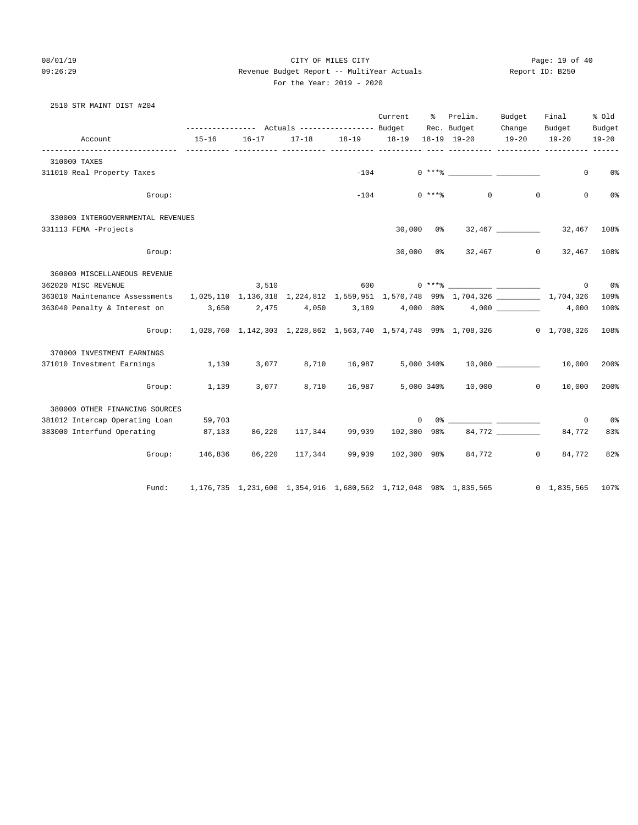08/01/19 Page: 19 of 40 09:26:29 Revenue Budget Report -- MultiYear Actuals Report ID: B250 For the Year: 2019 - 2020

# 2510 STR MAINT DIST #204

|                                                                                                                     |                                                                                    |           |                                   |                                   | Current        | $\approx$ | Prelim.                                                                                                                                                                                                                                                                                                                                                            | Budget              | Final               | % old               |
|---------------------------------------------------------------------------------------------------------------------|------------------------------------------------------------------------------------|-----------|-----------------------------------|-----------------------------------|----------------|-----------|--------------------------------------------------------------------------------------------------------------------------------------------------------------------------------------------------------------------------------------------------------------------------------------------------------------------------------------------------------------------|---------------------|---------------------|---------------------|
| Account                                                                                                             | --------------- Actuals ---------------- Budget Rec. Budget<br>15-16               | $16 - 17$ |                                   | 17-18  18-19  18-19  18-19  19-20 |                |           |                                                                                                                                                                                                                                                                                                                                                                    | Change<br>$19 - 20$ | Budget<br>$19 - 20$ | Budget<br>$19 - 20$ |
| 310000 TAXES                                                                                                        |                                                                                    |           |                                   |                                   |                |           |                                                                                                                                                                                                                                                                                                                                                                    |                     |                     |                     |
| 311010 Real Property Taxes                                                                                          |                                                                                    |           |                                   |                                   |                |           |                                                                                                                                                                                                                                                                                                                                                                    |                     | $\mathbf{0}$        | 0%                  |
| Group:                                                                                                              |                                                                                    |           |                                   | $-104$                            |                | $0$ ****  | $\overline{0}$                                                                                                                                                                                                                                                                                                                                                     | $\mathbf 0$         | $\mathbf{0}$        | 0 <sup>°</sup>      |
| 330000 INTERGOVERNMENTAL REVENUES                                                                                   |                                                                                    |           |                                   |                                   |                |           |                                                                                                                                                                                                                                                                                                                                                                    |                     |                     |                     |
| 331113 FEMA -Projects                                                                                               |                                                                                    |           |                                   |                                   | $30,000$ $0\%$ |           |                                                                                                                                                                                                                                                                                                                                                                    |                     | 32,467 108%         |                     |
| Group:                                                                                                              |                                                                                    |           |                                   |                                   | 30,000 0%      |           |                                                                                                                                                                                                                                                                                                                                                                    | 32,467 0            | 32,467              | 108%                |
| 360000 MISCELLANEOUS REVENUE                                                                                        |                                                                                    |           |                                   |                                   |                |           |                                                                                                                                                                                                                                                                                                                                                                    |                     |                     |                     |
| 362020 MISC REVENUE                                                                                                 |                                                                                    |           | 3,510                             |                                   |                |           |                                                                                                                                                                                                                                                                                                                                                                    |                     |                     | $0\qquad 0$ %       |
| 363010 Maintenance Assessments 1,025,110 1,136,318 1,224,812 1,559,951 1,570,748 99% 1,704,326 __________ 1,704,326 |                                                                                    |           |                                   |                                   |                |           |                                                                                                                                                                                                                                                                                                                                                                    |                     |                     | 109%                |
| 363040 Penalty & Interest on 3,650 2,475 4,050 3,189 4,000 80% 4,000 4,000 4,000                                    |                                                                                    |           |                                   |                                   |                |           |                                                                                                                                                                                                                                                                                                                                                                    |                     |                     | 100%                |
|                                                                                                                     | Group: 1,028,760 1,142,303 1,228,862 1,563,740 1,574,748 99% 1,708,326 0 1,708,326 |           |                                   |                                   |                |           |                                                                                                                                                                                                                                                                                                                                                                    |                     |                     | 108%                |
| 370000 INVESTMENT EARNINGS                                                                                          |                                                                                    |           |                                   |                                   |                |           |                                                                                                                                                                                                                                                                                                                                                                    |                     |                     |                     |
| 371010 Investment Earnings 1,139                                                                                    |                                                                                    |           |                                   |                                   |                |           | $3,077$ $8,710$ $16,987$ $5,000$ $340\%$ $10,000$ $10,000$                                                                                                                                                                                                                                                                                                         |                     |                     | 200%                |
| Group:                                                                                                              | 1,139                                                                              | 3,077     |                                   |                                   |                |           | 8,710 16,987 5,000 340% 10,000 0                                                                                                                                                                                                                                                                                                                                   |                     | 10,000              | 200%                |
| 380000 OTHER FINANCING SOURCES                                                                                      |                                                                                    |           |                                   |                                   |                |           |                                                                                                                                                                                                                                                                                                                                                                    |                     |                     |                     |
| 381012 Intercap Operating Loan 59,703                                                                               |                                                                                    |           |                                   |                                   |                |           | $\begin{picture}(150,10) \put(0,0){\vector(1,0){100}} \put(15,0){\vector(1,0){100}} \put(15,0){\vector(1,0){100}} \put(15,0){\vector(1,0){100}} \put(15,0){\vector(1,0){100}} \put(15,0){\vector(1,0){100}} \put(15,0){\vector(1,0){100}} \put(15,0){\vector(1,0){100}} \put(15,0){\vector(1,0){100}} \put(15,0){\vector(1,0){100}} \put(15,0){\vector(1,0){100}}$ |                     | $\mathbf 0$         | 0%                  |
| 383000 Interfund Operating 87,133                                                                                   |                                                                                    |           | 86,220 117,344 99,939 102,300 98% |                                   |                |           |                                                                                                                                                                                                                                                                                                                                                                    | 84,772              | 84,772              | 83%                 |
|                                                                                                                     | Group: 146,836 86,220 117,344                                                      |           |                                   |                                   |                |           | 99,939 102,300 98% 84,772 0                                                                                                                                                                                                                                                                                                                                        |                     | 84,772              | 82%                 |
| Fund:                                                                                                               |                                                                                    |           |                                   |                                   |                |           | 1,176,735 1,231,600 1,354,916 1,680,562 1,712,048 98% 1,835,565 0 1,835,565 107%                                                                                                                                                                                                                                                                                   |                     |                     |                     |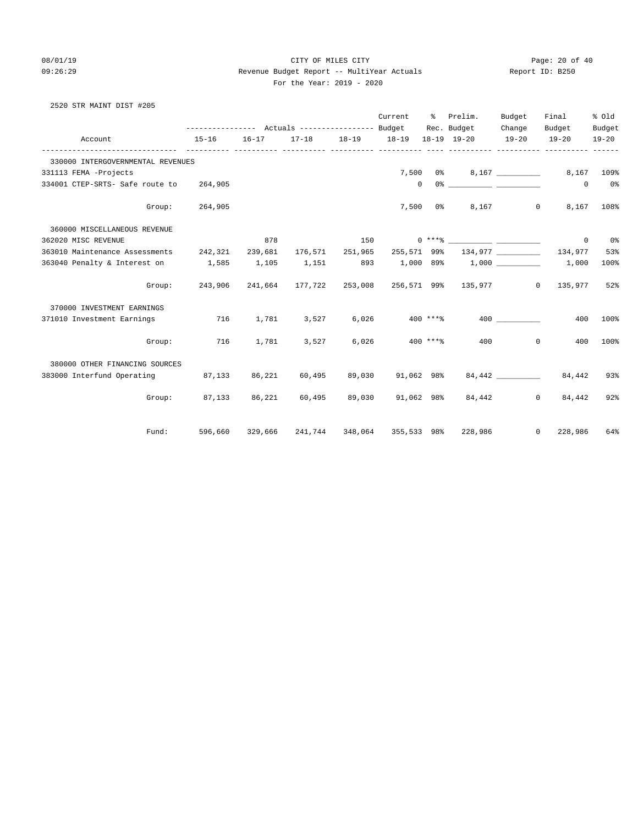2520 STR MAINT DIST #205

### 08/01/19 Page: 20 of 40 09:26:29 Revenue Budget Report -- MultiYear Actuals Report ID: B250 For the Year: 2019 - 2020

| Account                                 | --------------- Actuals ---------------- Budget Rec. Budget<br>$15 - 16$ | $16 - 17$ | 17-18  18-19  18-19  18-19  19-20 |        | Current               | $\frac{1}{2}$ | Prelim.                                                  | Budget<br>Change<br>$19 - 20$ | Final<br>Budget<br>$19 - 20$ | % old<br>Budget<br>$19 - 20$ |
|-----------------------------------------|--------------------------------------------------------------------------|-----------|-----------------------------------|--------|-----------------------|---------------|----------------------------------------------------------|-------------------------------|------------------------------|------------------------------|
|                                         | ______________                                                           |           | ------- ---------- -----          |        | ----- ---------- ---- |               |                                                          |                               |                              |                              |
| 330000 INTERGOVERNMENTAL REVENUES       |                                                                          |           |                                   |        |                       |               |                                                          |                               |                              |                              |
| 331113 FEMA -Projects                   |                                                                          |           |                                   |        |                       |               | 7,500 0% 8,167                                           |                               |                              | 8,167 109%                   |
| 334001 CTEP-SRTS- Safe route to 264,905 |                                                                          |           |                                   |        |                       | $\mathbf{0}$  |                                                          |                               | $\circ$                      | 0 <sup>8</sup>               |
| Group:                                  | 264,905                                                                  |           |                                   |        |                       | $7,500$ 0%    |                                                          | 8,167<br>$\overline{0}$       |                              | 8,167 108%                   |
| 360000 MISCELLANEOUS REVENUE            |                                                                          |           |                                   |        |                       |               |                                                          |                               |                              |                              |
| 362020 MISC REVENUE                     |                                                                          | 878       |                                   | 150    |                       |               |                                                          |                               | $\circ$                      | 0%                           |
| 363010 Maintenance Assessments 242,321  |                                                                          | 239,681   | 176,571 251,965                   |        | 255,571 99%           |               |                                                          | 134,977                       | 134,977                      | 53%                          |
| 363040 Penalty & Interest on 1,585      |                                                                          | 1,105     | 1,151                             |        |                       |               | 893 1,000 89% 1,000 1,000 1,000                          |                               |                              | 100%                         |
|                                         | Group: 243,906 241,664 177,722                                           |           |                                   |        |                       |               | 253,008 256,571 99% 135,977                              |                               | $0 \qquad 135,977$           | 52%                          |
| 370000 INVESTMENT EARNINGS              |                                                                          |           |                                   |        |                       |               |                                                          |                               |                              |                              |
| 371010 Investment Earnings              | 716                                                                      |           | 1,781 3,527 6,026                 |        | $400$ ****            |               |                                                          | 400 000                       | 400                          | 100%                         |
| Group:                                  | 716                                                                      | 1,781     | 3,527                             | 6,026  | $400$ ****            |               |                                                          | 400<br>$\circ$                | 400                          | 100%                         |
| 380000 OTHER FINANCING SOURCES          |                                                                          |           |                                   |        |                       |               |                                                          |                               |                              |                              |
| 383000 Interfund Operating              | 87, 133                                                                  | 86,221    | 60,495                            | 89,030 | 91,062 98%            |               |                                                          |                               | 84,442 84,442                | 93%                          |
|                                         | Group: 87,133 86,221                                                     |           | 60,495                            |        | 89,030 91,062 98%     |               |                                                          | 84,442<br>$\circ$             | 84,442                       | 92%                          |
| Fund:                                   |                                                                          |           |                                   |        |                       |               | 596,660  329,666  241,744  348,064  355,533 98%  228,986 |                               | $0\qquad 228,986$            | 64%                          |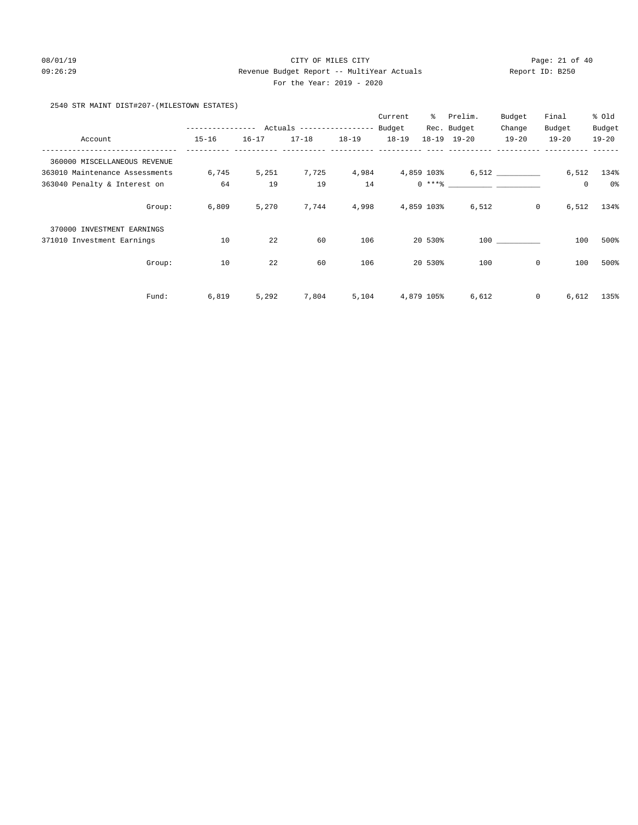# 08/01/19 Page: 21 of 40 09:26:29 Revenue Budget Report -- MultiYear Actuals Report ID: B250 For the Year: 2019 - 2020

# 2540 STR MAINT DIST#207-(MILESTOWN ESTATES)

|                                |                 |                                           |           |           | Current   | ႜၟ         | Prelim.                                                                                                                                                                                                                                                                                                                                                                                                                                                                                                             | Budget         | Final     | % Old     |
|--------------------------------|-----------------|-------------------------------------------|-----------|-----------|-----------|------------|---------------------------------------------------------------------------------------------------------------------------------------------------------------------------------------------------------------------------------------------------------------------------------------------------------------------------------------------------------------------------------------------------------------------------------------------------------------------------------------------------------------------|----------------|-----------|-----------|
|                                |                 | --------------- Actuals ----------------- |           |           | Budget    |            | Rec. Budget                                                                                                                                                                                                                                                                                                                                                                                                                                                                                                         | Change         | Budget    | Budget    |
| Account                        | $15 - 16$       | $16 - 17$                                 | $17 - 18$ | $18 - 19$ | $18 - 19$ |            | 18-19 19-20                                                                                                                                                                                                                                                                                                                                                                                                                                                                                                         | $19 - 20$      | $19 - 20$ | $19 - 20$ |
| 360000 MISCELLANEOUS REVENUE   |                 |                                           |           |           |           |            |                                                                                                                                                                                                                                                                                                                                                                                                                                                                                                                     |                |           |           |
| 363010 Maintenance Assessments | 6,745           | 5,251                                     | 7,725     | 4,984     |           | 4,859 103% |                                                                                                                                                                                                                                                                                                                                                                                                                                                                                                                     | 6,512          | 6,512     | 134%      |
| 363040 Penalty & Interest on   | 64              | 19                                        | 19        | 14        |           |            | $0 \xrightarrow{***\text{\texttt{\%}}}\xrightarrow{\hspace*{1.5cm}}\xrightarrow{\hspace*{1.5cm}}\xrightarrow{\hspace*{1.5cm}}\xrightarrow{\hspace*{1.5cm}}\xrightarrow{\hspace*{1.5cm}}\xrightarrow{\hspace*{1.5cm}}\xrightarrow{\hspace*{1.5cm}}\xrightarrow{\hspace*{1.5cm}}\xrightarrow{\hspace*{1.5cm}}\xrightarrow{\hspace*{1.5cm}}\xrightarrow{\hspace*{1.5cm}}\xrightarrow{\hspace*{1.5cm}}\xrightarrow{\hspace*{1.5cm}}\xrightarrow{\hspace*{1.5cm}}\xrightarrow{\hspace*{1.5cm}}\xrightarrow{\hspace*{1.5$ |                | 0         | 0%        |
|                                | 6,809<br>Group: | 5,270                                     | 7,744     | 4,998     |           | 4,859 103% | 6,512                                                                                                                                                                                                                                                                                                                                                                                                                                                                                                               | $\overline{0}$ | 6,512     | 134%      |
| 370000 INVESTMENT EARNINGS     |                 |                                           |           |           |           |            |                                                                                                                                                                                                                                                                                                                                                                                                                                                                                                                     |                |           |           |
| 371010 Investment Earnings     | 10              | 22                                        | 60        | 106       |           | 20 530%    |                                                                                                                                                                                                                                                                                                                                                                                                                                                                                                                     | 100            | 100       | 500%      |
|                                | 10<br>Group:    | 22                                        | 60        | 106       |           | 20 530%    | 100                                                                                                                                                                                                                                                                                                                                                                                                                                                                                                                 | 0              | 100       | 500%      |
| Fund:                          | 6,819           | 5,292                                     | 7,804     | 5,104     |           | 4,879 105% | 6,612                                                                                                                                                                                                                                                                                                                                                                                                                                                                                                               | $\mathbf{0}$   | 6,612     | 135%      |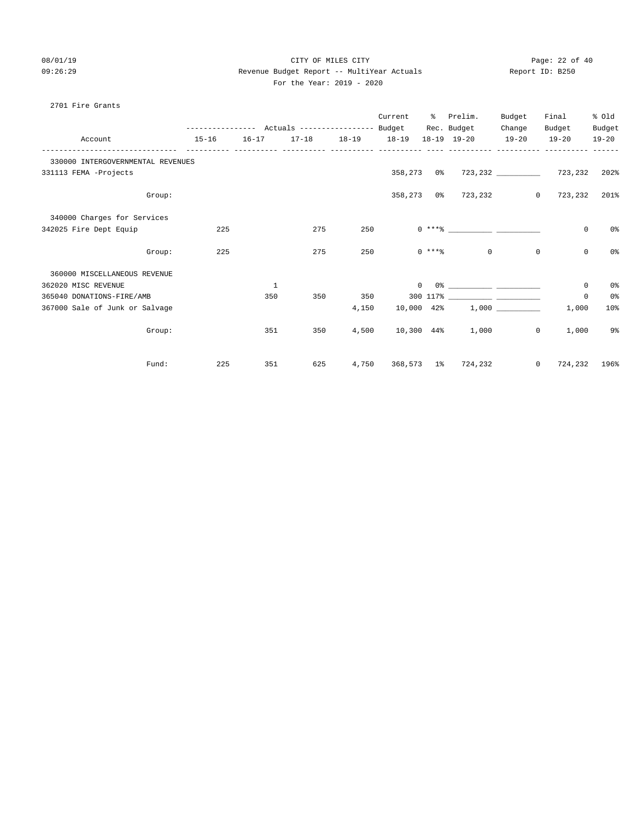# 08/01/19 Page: 22 of 40 09:26:29 Revenue Budget Report -- MultiYear Actuals Report ID: B250 For the Year: 2019 - 2020

### 2701 Fire Grants

|                                   |           |              |                                                 |           | Current        | ႜႜ              | Prelim.             | Budget         | Final           | % Old          |
|-----------------------------------|-----------|--------------|-------------------------------------------------|-----------|----------------|-----------------|---------------------|----------------|-----------------|----------------|
|                                   |           |              | --------------- Actuals ---------------- Budget |           |                |                 | Rec. Budget         | Change         | Budget          | Budget         |
| Account                           | $15 - 16$ | $16 - 17$    | $17 - 18$                                       | $18 - 19$ | $18 - 19$      |                 | $18 - 19$ $19 - 20$ | $19 - 20$      | $19 - 20$       | $19 - 20$      |
| 330000 INTERGOVERNMENTAL REVENUES |           |              |                                                 |           |                |                 |                     |                |                 |                |
| 331113 FEMA -Projects             |           |              |                                                 |           | 358,273 0%     |                 |                     |                | 723,232 723,232 | 202%           |
| Group:                            |           |              |                                                 |           |                |                 | 358,273 0% 723,232  | $\circ$        | 723,232         | 201%           |
| 340000 Charges for Services       |           |              |                                                 |           |                |                 |                     |                |                 |                |
| 342025 Fire Dept Equip            | 225       |              | 275                                             | 250       |                |                 |                     |                | $\mathbf 0$     | 0 <sup>o</sup> |
| Group:                            | 225       |              | 275                                             | 250       |                | $0 \times + +8$ | $\Omega$            | $\Omega$       | $\mathbf 0$     | 0 <sup>°</sup> |
| 360000 MISCELLANEOUS REVENUE      |           |              |                                                 |           |                |                 |                     |                |                 |                |
| 362020 MISC REVENUE               |           | $\mathbf{1}$ |                                                 |           | $\overline{0}$ |                 |                     |                | 0               | $0\,$ s        |
| 365040 DONATIONS-FIRE/AMB         |           | 350          | 350                                             | 350       |                |                 |                     |                | 0               | 0 <sup>o</sup> |
| 367000 Sale of Junk or Salvage    |           |              |                                                 | 4,150     | 10,000 42%     |                 |                     |                | 1,000           | 10%            |
| Group:                            |           | 351          | 350                                             | 4,500     |                |                 | 10,300 44% 1,000    | $\circ$        | 1,000           | 9%             |
| Fund:                             | 225       | 351          | 625                                             | 4,750     |                |                 | 368,573 1% 724,232  | $\overline{0}$ | 724,232         | 196%           |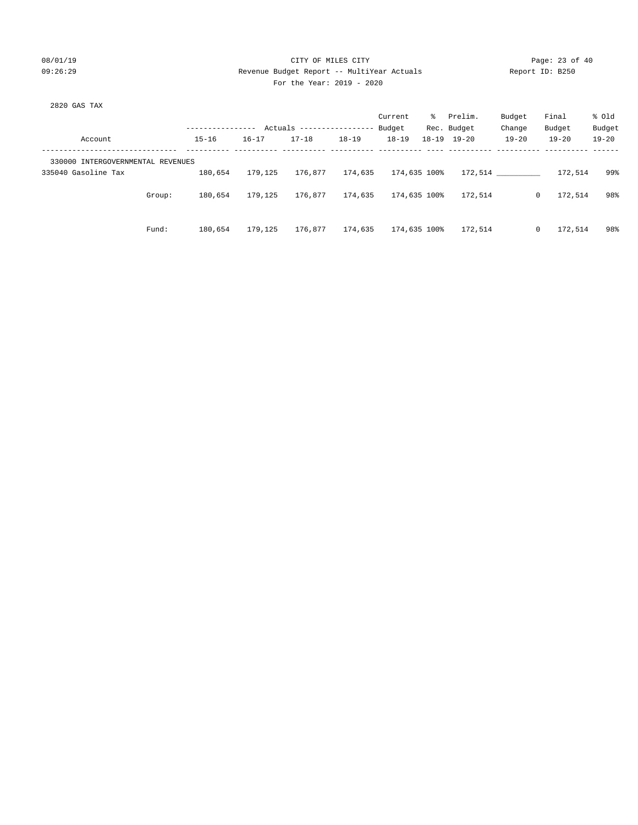# 08/01/19 Page: 23 of 40 09:26:29 Revenue Budget Report -- MultiYear Actuals Report ID: B250 For the Year: 2019 - 2020

| 2820 GAS TAX                      |        |                  |           |                            |           |              |              |                     |           |                         |           |
|-----------------------------------|--------|------------------|-----------|----------------------------|-----------|--------------|--------------|---------------------|-----------|-------------------------|-----------|
|                                   |        |                  |           |                            |           | Current      |              | % Prelim.           | Budget    | Final                   | % old     |
|                                   |        | ---------------- |           | Actuals ------------------ |           | Budget       |              | Rec. Budget         | Change    | Budget                  | Budget    |
| Account                           |        | $15 - 16$        | $16 - 17$ | $17 - 18$                  | $18 - 19$ | $18 - 19$    |              | $18 - 19$ $19 - 20$ | $19 - 20$ | $19 - 20$               | $19 - 20$ |
| 330000 INTERGOVERNMENTAL REVENUES |        |                  |           |                            |           |              |              |                     |           |                         |           |
| 335040 Gasoline Tax               |        | 180,654          | 179,125   | 176.877                    | 174,635   | 174,635 100% |              |                     | 172.514   | 172,514                 | 99%       |
|                                   | Group: | 180,654          | 179,125   | 176.877                    | 174,635   | 174,635 100% |              | 172,514             |           | 172,514<br>$\mathbf{0}$ | 98%       |
|                                   | Fund:  | 180,654          | 179,125   | 176,877                    | 174,635   |              | 174,635 100% | 172,514             |           | $\mathbf 0$<br>172,514  | 98%       |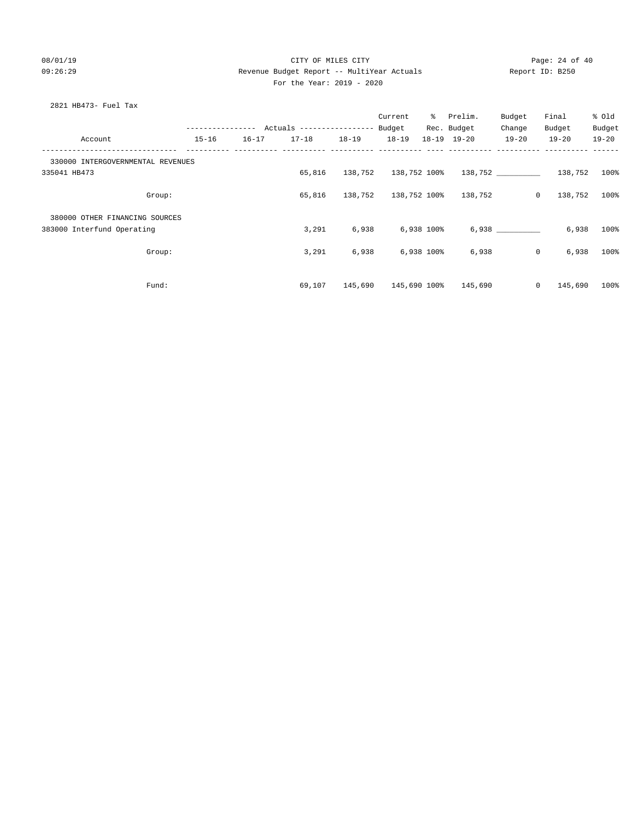### 08/01/19 Page: 24 of 40 09:26:29 Revenue Budget Report -- MultiYear Actuals Report ID: B250 For the Year: 2019 - 2020

### 2821 HB473- Fuel Tax

|                                   |           |           |           |           | Current              | ႜႜၟ        | Prelim.                      | Budget    | Final                | % Old     |
|-----------------------------------|-----------|-----------|-----------|-----------|----------------------|------------|------------------------------|-----------|----------------------|-----------|
|                                   |           |           |           |           |                      |            | Rec. Budget                  | Change    | Budget               | Budget    |
| Account                           | $15 - 16$ | $16 - 17$ | $17 - 18$ | $18 - 19$ | $18 - 19$            |            | $18 - 19$ $19 - 20$          | $19 - 20$ | $19 - 20$            | $19 - 20$ |
| 330000 INTERGOVERNMENTAL REVENUES |           |           |           |           |                      |            |                              |           |                      |           |
| 335041 HB473                      |           |           | 65,816    |           | 138,752 138,752 100% |            |                              |           | 138,752 138,752 100% |           |
| Group:                            |           |           | 65,816    |           |                      |            | 138,752 138,752 100% 138,752 | $\circ$   | 138,752              | 100%      |
| 380000 OTHER FINANCING SOURCES    |           |           |           |           |                      |            |                              |           |                      |           |
| 383000 Interfund Operating        |           |           | 3,291     | 6,938     |                      | 6,938 100% |                              | 6,938     | 6,938                | 100%      |
| Group:                            |           |           | 3,291     | 6,938     |                      | 6,938 100% | 6,938                        | $\circ$   | 6,938                | 100%      |
| Fund:                             |           |           | 69,107    |           | 145,690 145,690 100% |            | 145,690                      | $\circ$   | 145,690              | $100$ %   |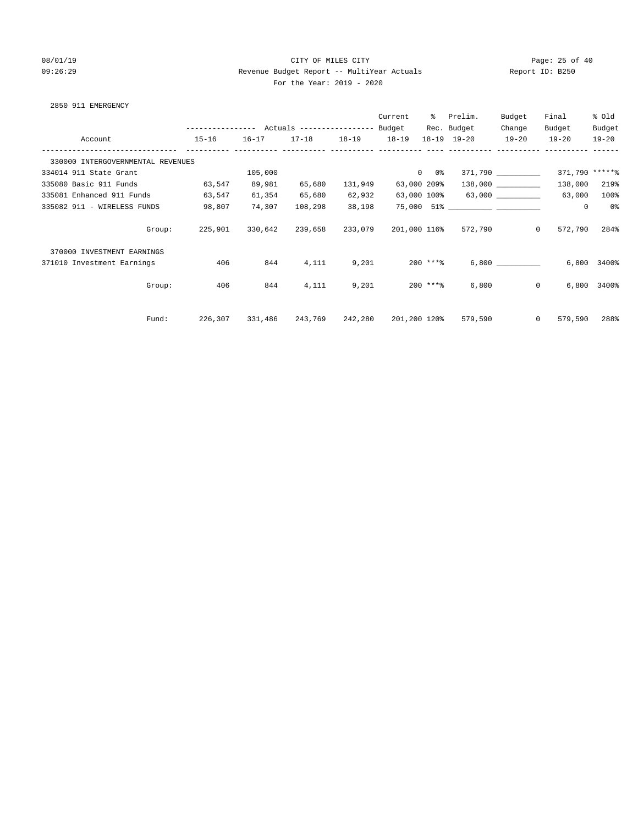# 08/01/19 Page: 25 of 40 09:26:29 Revenue Budget Report -- MultiYear Actuals Report ID: B250 For the Year: 2019 - 2020

| 2850 911 EMERGENCY |  |
|--------------------|--|
|--------------------|--|

|                                   |           |         |                         |         | Current      | ိ           | Prelim.                           | Budget               | Final              | % Old         |
|-----------------------------------|-----------|---------|-------------------------|---------|--------------|-------------|-----------------------------------|----------------------|--------------------|---------------|
|                                   |           |         |                         |         |              |             | Rec. Budget                       | Change               | Budget             | Budget        |
| Account                           | $15 - 16$ |         | 16-17 17-18 18-19 18-19 |         |              |             | $18 - 19$ $19 - 20$               | $19 - 20$            | $19 - 20$          | $19 - 20$     |
| 330000 INTERGOVERNMENTAL REVENUES |           |         |                         |         |              |             |                                   |                      |                    |               |
| 334014 911 State Grant            |           | 105,000 |                         |         |              | $0$ 0%      |                                   | 371,790 __________   | 371,790 *****%     |               |
| 335080 Basic 911 Funds            | 63,547    | 89,981  | 65,680                  | 131,949 |              | 63,000 209% |                                   | $138,000$ __________ | 138,000            | 219%          |
| 335081 Enhanced 911 Funds         | 63,547    | 61,354  | 65,680                  | 62,932  |              |             | $63,000$ 100% $63,000$ __________ |                      | 63,000             | 100%          |
| 335082 911 - WIRELESS FUNDS       | 98,807    | 74,307  | 108,298                 | 38,198  |              |             |                                   |                      | 0                  | 0%            |
| Group:                            | 225,901   |         | 330,642 239,658 233,079 |         |              |             | 201,000 116% 572,790              |                      | 572,790<br>$\circ$ | 284%          |
| 370000 INVESTMENT EARNINGS        |           |         |                         |         |              |             |                                   |                      |                    |               |
| 371010 Investment Earnings        | 406       | 844     | 4,111                   | 9,201   |              | 200 ****    |                                   | 6,800                | 6,800              | 3400%         |
| Group:                            | 406       | 844     | 4,111                   | 9,201   |              | 200 ***%    | 6,800                             |                      | $\circ$            | $6,800$ 3400% |
|                                   |           |         |                         |         |              |             |                                   |                      |                    |               |
| Fund:                             | 226,307   |         | 331,486 243,769 242,280 |         | 201,200 120% |             | 579,590                           |                      | $\circ$<br>579,590 | 288%          |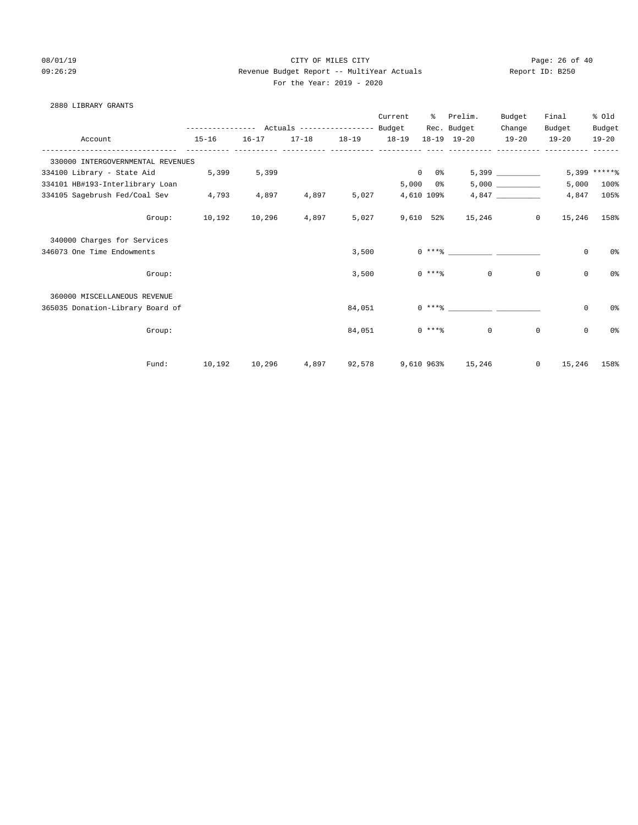2880 LIBRARY GRANTS

# 08/01/19 Page: 26 of 40 09:26:29 Revenue Budget Report -- MultiYear Actuals Report ID: B250 For the Year: 2019 - 2020

|                                     |        |           |           |           |               | Current        |                          | % Prelim.<br>Rec. Budget | Budget<br>Change | Final<br>Budget | % old<br>Budget |
|-------------------------------------|--------|-----------|-----------|-----------|---------------|----------------|--------------------------|--------------------------|------------------|-----------------|-----------------|
| Account                             |        | $15 - 16$ | $16 - 17$ | $17 - 18$ | 18-19   18-19 |                |                          | 18-19 19-20              | $19 - 20$        | $19 - 20$       | $19 - 20$       |
| 330000 INTERGOVERNMENTAL REVENUES   |        |           |           |           |               |                |                          |                          |                  |                 |                 |
| 334100 Library - State Aid          |        | 5,399     | 5,399     |           |               | $\overline{0}$ | 0 %                      |                          | 5,399            |                 | $5,399$ ***** % |
| 334101 HB#193-Interlibrary Loan     |        |           |           |           |               |                | $5,000$ $0$ <sup>§</sup> |                          | 5,000            | 5,000           | $100\%$         |
| 334105 Sagebrush Fed/Coal Sev 4,793 |        |           | 4,897     | 4,897     | 5,027         | 4,610 109%     |                          |                          |                  | 4,847           | 105%            |
|                                     | Group: | 10,192    | 10,296    | 4,897     | 5,027         |                |                          | 9,610 52% 15,246         | $\circ$          | 15,246          | 158%            |
| 340000 Charges for Services         |        |           |           |           |               |                |                          |                          |                  |                 |                 |
| 346073 One Time Endowments          |        |           |           |           | 3,500         |                |                          | $0***8$                  |                  | $\mathbf 0$     | 0 <sup>o</sup>  |
|                                     | Group: |           |           |           | 3,500         |                | $0***8$                  | $\overline{0}$           | $\mathbf{0}$     | $\mathbf{0}$    | 0 <sup>o</sup>  |
| 360000 MISCELLANEOUS REVENUE        |        |           |           |           |               |                |                          |                          |                  |                 |                 |
| 365035 Donation-Library Board of    |        |           |           |           | 84,051        |                |                          | $0 \times + *$ $*$       |                  | 0               | 0%              |
|                                     | Group: |           |           |           | 84,051        |                | $0***8$                  | $\overline{0}$           | $\mathbf 0$      | $\mathbf{0}$    | 0 <sup>o</sup>  |
|                                     | Fund:  | 10,192    | 10,296    | 4,897     |               |                |                          | 92,578 9,610 963% 15,246 | $\circ$          | 15,246          | 158%            |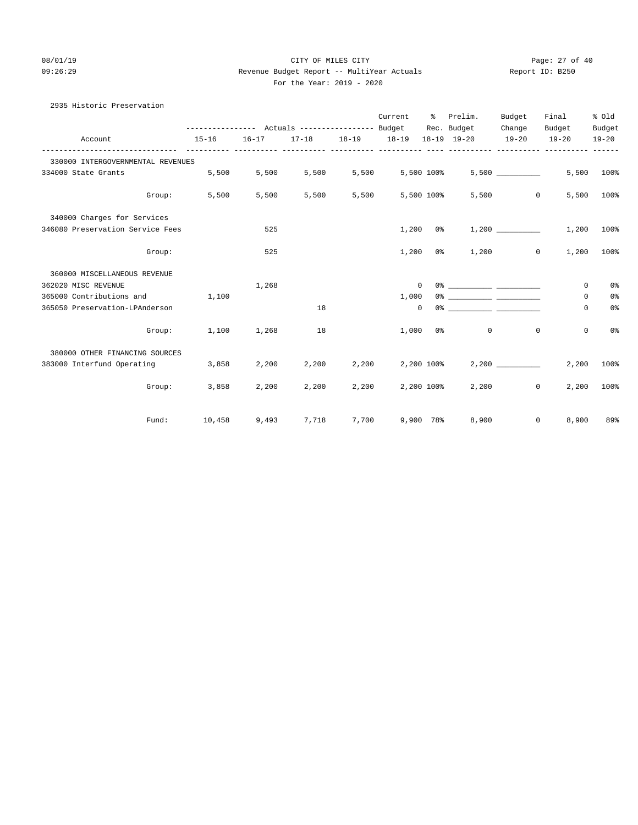# 08/01/19 Page: 27 of 40 09:26:29 Revenue Budget Report -- MultiYear Actuals Report ID: B250 For the Year: 2019 - 2020

| 2935 Historic Preservation        |        |       |             |       |                  |            |                                                             |        |                            |                |
|-----------------------------------|--------|-------|-------------|-------|------------------|------------|-------------------------------------------------------------|--------|----------------------------|----------------|
|                                   |        |       |             |       |                  |            | Current % Prelim.                                           | Budget | Final                      | % old          |
|                                   |        |       |             |       |                  |            | --------------- Actuals ---------------- Budget Rec. Budget | Change | Budget                     | Budget         |
| Account                           |        |       |             |       |                  |            | 15-16 16-17 17-18 18-19 18-19 18-19 19-20 19-20 19-20       |        |                            | $19 - 20$      |
| 330000 INTERGOVERNMENTAL REVENUES |        |       |             |       |                  |            |                                                             |        |                            |                |
| 334000 State Grants 5,500         |        | 5,500 | 5,500       |       | 5,500 5,500 100% |            |                                                             | 5,500  | 5,500                      | 100%           |
| Group:                            | 5,500  | 5,500 | 5,500       | 5,500 |                  | 5,500 100% |                                                             | 5,500  | $\overline{0}$<br>5,500    | 100%           |
| 340000 Charges for Services       |        |       |             |       |                  |            |                                                             |        |                            |                |
| 346080 Preservation Service Fees  |        | 525   |             |       |                  | $1,200$ 0% |                                                             | 1,200  | 1,200                      | 100%           |
| Group:                            |        | 525   |             |       | 1,200            | 0 %        |                                                             | 1,200  | $\circ$<br>1,200           | 100%           |
| 360000 MISCELLANEOUS REVENUE      |        |       |             |       |                  |            |                                                             |        |                            |                |
| 362020 MISC REVENUE               |        | 1,268 |             |       |                  | $\Omega$   |                                                             |        | $\Omega$                   | 0 <sup>°</sup> |
| 365000 Contributions and          | 1,100  |       |             |       | 1,000            |            |                                                             |        | 0                          | 0 <sup>°</sup> |
| 365050 Preservation-LPAnderson    |        |       | 18          |       |                  | $\circ$    |                                                             |        | 0                          | 0 <sup>°</sup> |
| Group:                            | 1,100  | 1,268 | 18          |       | 1,000            |            | $\circ$<br>0 <sup>8</sup>                                   |        | $\mathbf 0$<br>$\mathbf 0$ | 0 <sup>°</sup> |
| 380000 OTHER FINANCING SOURCES    |        |       |             |       |                  |            |                                                             |        |                            |                |
| 383000 Interfund Operating 3,858  |        | 2,200 | 2,200       | 2,200 |                  | 2,200 100% |                                                             | 2,200  | 2,200                      | 100%           |
| Group:                            | 3,858  | 2,200 | 2,200       |       | 2,200 2,200 100% |            |                                                             | 2,200  | 2,200<br>$\circ$           | 100%           |
| Fund:                             | 10,458 |       | 9,493 7,718 |       | 7,700 9,900 78%  |            | 8,900                                                       |        | 8,900<br>$\circ$           | 89%            |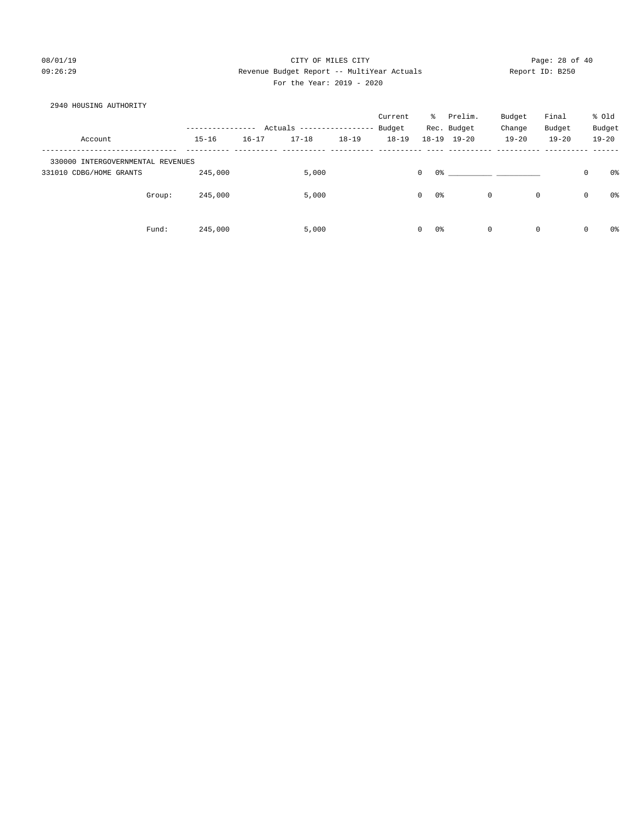# 08/01/19 Page: 28 of 40 09:26:29 Revenue Budget Report -- MultiYear Actuals Report ID: B250 For the Year: 2019 - 2020

| 2940 HOUSING AUTHORITY                                       |        |                    |           |                           |           |           |                                         |                     |              |           |                  |           |
|--------------------------------------------------------------|--------|--------------------|-----------|---------------------------|-----------|-----------|-----------------------------------------|---------------------|--------------|-----------|------------------|-----------|
|                                                              |        |                    |           |                           |           | Current   | ະ                                       | Prelim.             | Budget       | Final     |                  | % old     |
|                                                              |        | ----------------   |           | Actuals ----------------- |           | Budget    |                                         | Rec. Budget         | Change       | Budget    |                  | Budget    |
| Account                                                      |        | $15 - 16$          | $16 - 17$ | $17 - 18$                 | $18 - 19$ | $18 - 19$ |                                         | $18 - 19$ $19 - 20$ | $19 - 20$    | $19 - 20$ |                  | $19 - 20$ |
| 330000 INTERGOVERNMENTAL REVENUES<br>331010 CDBG/HOME GRANTS | Group: | 245,000<br>245,000 |           | 5,000<br>5,000            |           |           | $\mathbf 0$<br>0%<br>0%<br>$\mathbf{0}$ | $\mathbf 0$         | $\mathbf{0}$ |           | $\mathbf 0$<br>0 | 0%<br>0 % |
|                                                              | Fund:  | 245,000            |           | 5,000                     |           |           | 0%<br>$\circ$                           | $\mathbf 0$         | $\mathbf{0}$ |           | 0                | 0%        |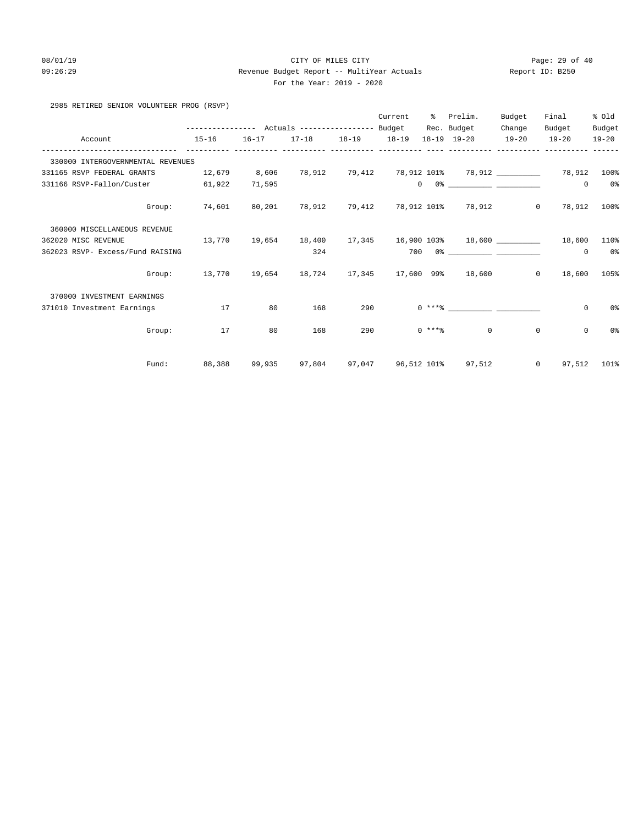# 08/01/19 Page: 29 of 40 09:26:29 Revenue Budget Report -- MultiYear Actuals Report ID: B250 For the Year: 2019 - 2020

# 2985 RETIRED SENIOR VOLUNTEER PROG (RSVP)

|                                   |                                                           |           |                                                                   |     | Current | % Prelim.                                                                                                                                                                                                                                                                                                                                                          | Budget  | Final                 | % old          |
|-----------------------------------|-----------------------------------------------------------|-----------|-------------------------------------------------------------------|-----|---------|--------------------------------------------------------------------------------------------------------------------------------------------------------------------------------------------------------------------------------------------------------------------------------------------------------------------------------------------------------------------|---------|-----------------------|----------------|
|                                   | --------------- Actuals ---------------- Budget           |           |                                                                   |     |         | Rec. Budget                                                                                                                                                                                                                                                                                                                                                        | Change  | Budget                | Budget         |
| Account                           | $15 - 16$                                                 | $16 - 17$ | 17-18 18-19 18-19<br><u>uuuuuuuuuu uuuuuuuuuu uuuuuuuuuu uuuu</u> |     |         | 18-19 19-20                                                                                                                                                                                                                                                                                                                                                        | $19-20$ | $19 - 20$             | $19 - 20$      |
| 330000 INTERGOVERNMENTAL REVENUES |                                                           |           |                                                                   |     |         |                                                                                                                                                                                                                                                                                                                                                                    |         |                       |                |
| 331165 RSVP FEDERAL GRANTS        | 12,679 8,606                                              |           |                                                                   |     |         | 78,912          79,412          78,912          101%          78,912          ____________     78,912          100%                                                                                                                                                                                                                                                |         |                       |                |
| 331166 RSVP-Fallon/Custer         | 61,922                                                    | 71,595    |                                                                   |     |         | $\begin{picture}(150,10) \put(0,0){\vector(1,0){100}} \put(15,0){\vector(1,0){100}} \put(15,0){\vector(1,0){100}} \put(15,0){\vector(1,0){100}} \put(15,0){\vector(1,0){100}} \put(15,0){\vector(1,0){100}} \put(15,0){\vector(1,0){100}} \put(15,0){\vector(1,0){100}} \put(15,0){\vector(1,0){100}} \put(15,0){\vector(1,0){100}} \put(15,0){\vector(1,0){100}}$ |         | $\circ$               | 0 <sup>8</sup> |
| Group:                            | 74,601                                                    |           |                                                                   |     |         | 80,201 78,912 79,412 78,912 101% 78,912                                                                                                                                                                                                                                                                                                                            |         | $0\qquad 78,912$      | $100\%$        |
| 360000 MISCELLANEOUS REVENUE      |                                                           |           |                                                                   |     |         |                                                                                                                                                                                                                                                                                                                                                                    |         |                       |                |
| 362020 MISC REVENUE               | $13,770$ $19,654$ $18,400$                                |           |                                                                   |     |         | 17,345 16,900 103% 18,600 18,600                                                                                                                                                                                                                                                                                                                                   |         |                       | 110%           |
| 362023 RSVP- Excess/Fund RAISING  |                                                           |           | 324                                                               |     |         |                                                                                                                                                                                                                                                                                                                                                                    |         | $\mathbf{0}$          | 0 <sup>o</sup> |
| Group:                            | $13,770$ $19,654$ $18,724$ $17,345$ $17,600$ 99% $18,600$ |           |                                                                   |     |         |                                                                                                                                                                                                                                                                                                                                                                    |         | $0 \t 18,600 \t 105\$ |                |
| 370000 INVESTMENT EARNINGS        |                                                           |           |                                                                   |     |         |                                                                                                                                                                                                                                                                                                                                                                    |         |                       |                |
| 371010 Investment Earnings        | 17                                                        | 80        | 168                                                               | 290 |         |                                                                                                                                                                                                                                                                                                                                                                    |         | 0                     | 0%             |
| Group:                            | 17                                                        | 80        | 168                                                               | 290 |         | $0 \leftarrow \ast \ast \ast$                                                                                                                                                                                                                                                                                                                                      | $\circ$ | $\mathbf 0$           | 0%             |
| Fund:                             | 88,388                                                    |           |                                                                   |     |         | 99,935 97,804 97,047 96,512 101% 97,512 0                                                                                                                                                                                                                                                                                                                          |         |                       | 97,512 101%    |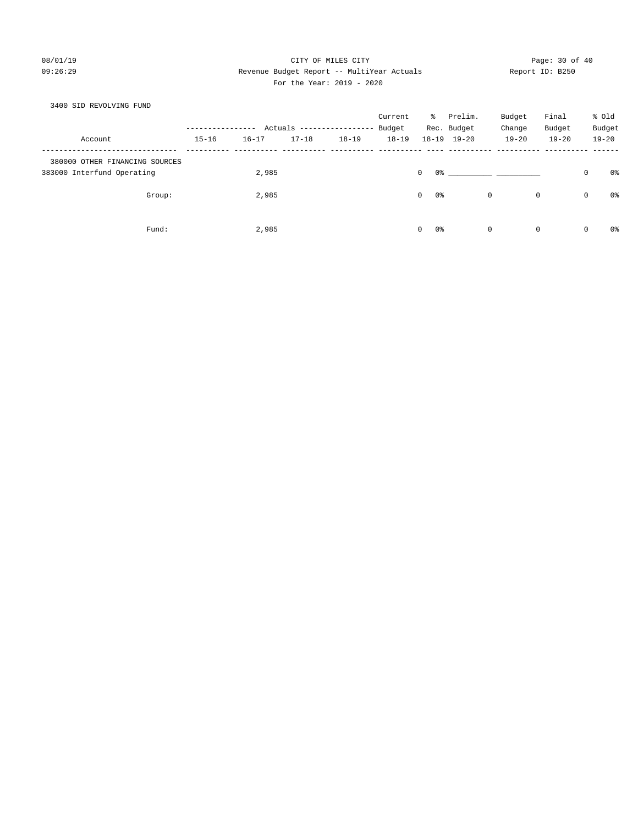# 08/01/19 Page: 30 of 40 09:26:29 Revenue Budget Report -- MultiYear Actuals Report ID: B250 For the Year: 2019 - 2020

| 3400 SID REVOLVING FUND                                      |           |           |           |                           |           |                    |                     |             |              |   |           |
|--------------------------------------------------------------|-----------|-----------|-----------|---------------------------|-----------|--------------------|---------------------|-------------|--------------|---|-----------|
|                                                              |           |           |           |                           | Current   | ိ                  | Prelim.             | Budget      | Final        |   | % old     |
|                                                              |           |           |           | Actuals ----------------- | Budget    |                    | Rec. Budget         | Change      | Budget       |   | Budget    |
| Account                                                      | $15 - 16$ | $16 - 17$ | $17 - 18$ | $18 - 19$                 | $18 - 19$ |                    | $18 - 19$ $19 - 20$ | $19 - 20$   | $19 - 20$    |   | $19 - 20$ |
| 380000 OTHER FINANCING SOURCES<br>383000 Interfund Operating |           | 2,985     |           |                           |           | 0 %<br>0           |                     |             |              | 0 | 0%        |
| Group:                                                       |           | 2,985     |           |                           |           | $\mathbf{0}$<br>0% |                     | $\mathbf 0$ | $\mathsf{O}$ | 0 | 0%        |
| Fund:                                                        |           | 2,985     |           |                           |           | 0%<br>0            |                     | $\mathbf 0$ | $\mathsf{O}$ | 0 | 0%        |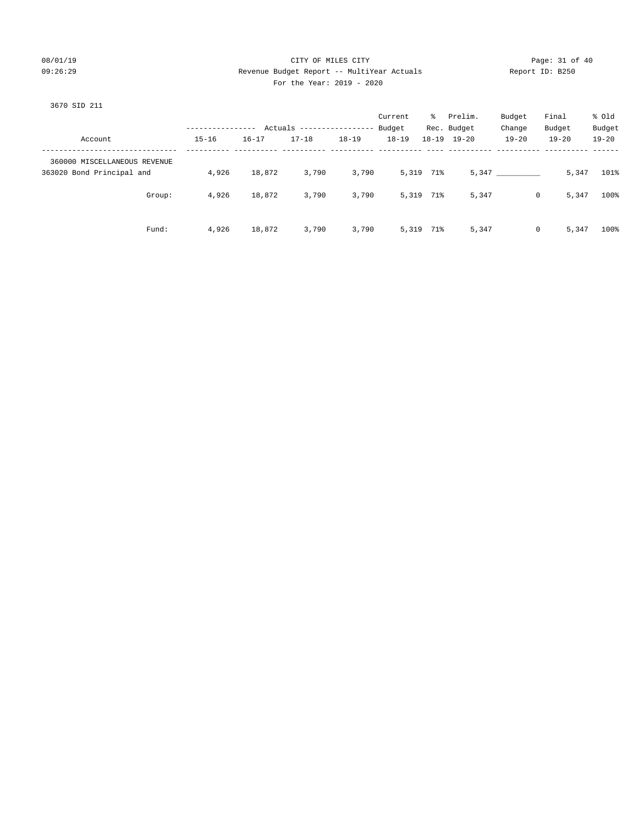# 08/01/19 Page: 31 of 40 09:26:29 Revenue Budget Report -- MultiYear Actuals Report ID: B250 For the Year: 2019 - 2020

### 3670 SID 211

|                              |           |           |                            |           | Current   | ႜႜႜၟ      | Prelim.     | Budget    | Final      | % old     |
|------------------------------|-----------|-----------|----------------------------|-----------|-----------|-----------|-------------|-----------|------------|-----------|
|                              |           |           | Actuals ------------------ |           | Budget    |           | Rec. Budget | Change    | Budget     | Budget    |
| Account                      | $15 - 16$ | $16 - 17$ | $17 - 18$                  | $18 - 19$ | $18 - 19$ | $18 - 19$ | $19 - 20$   | $19 - 20$ | $19 - 20$  | $19 - 20$ |
| 360000 MISCELLANEOUS REVENUE |           |           |                            |           |           |           |             |           |            |           |
| 363020 Bond Principal and    | 4,926     | 18,872    | 3,790                      | 3,790     |           | 5,319 71% |             | 5,347     | 5,347      | 101%      |
| Group:                       | 4,926     | 18,872    | 3,790                      | 3,790     |           | 5,319 71% | 5,347       |           | 0<br>5,347 | 100%      |
| Fund:                        | 4,926     | 18,872    | 3,790                      | 3,790     |           | 5,319 71% | 5,347       |           | 5,347<br>0 | 100%      |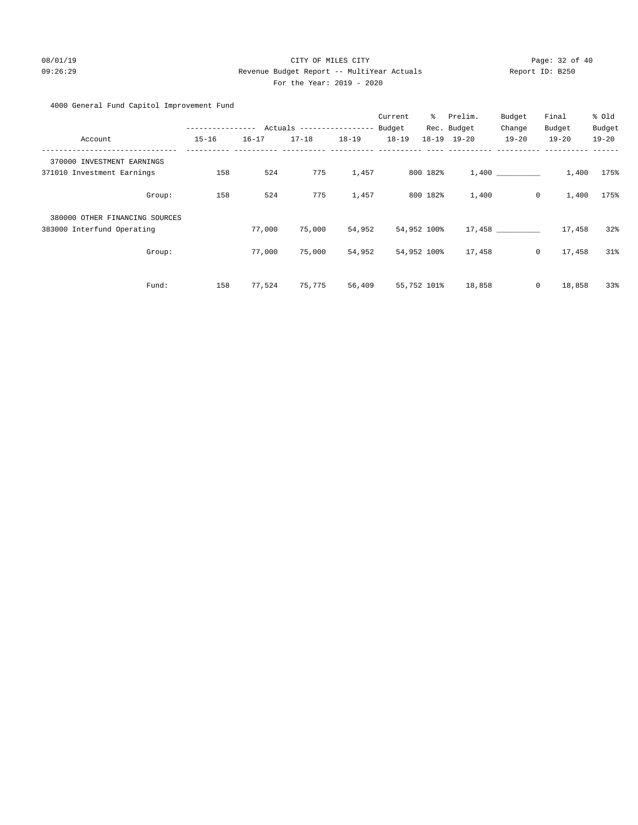# 08/01/19 Page: 32 of 40 09:26:29 Revenue Budget Report -- MultiYear Actuals Report ID: B250 For the Year: 2019 - 2020

# 4000 General Fund Capitol Improvement Fund

|                                |                                            |           |           |           | Current   | ៖           | Prelim.         | Budget    | Final                | % Old     |
|--------------------------------|--------------------------------------------|-----------|-----------|-----------|-----------|-------------|-----------------|-----------|----------------------|-----------|
|                                | ---------------- Actuals ----------------- |           |           |           | Budget    |             | Rec. Budget     | Change    | Budget               | Budget    |
| Account                        | $15 - 16$                                  | $16 - 17$ | $17 - 18$ | $18 - 19$ | $18 - 19$ |             | $18-19$ $19-20$ | $19 - 20$ | $19 - 20$            | $19 - 20$ |
| 370000 INVESTMENT EARNINGS     |                                            |           |           |           |           |             |                 |           |                      |           |
| 371010 Investment Earnings     | 158                                        | 524       | 775       | 1,457     |           | 800 182%    |                 | 1,400     | 1,400                | 175%      |
| Group:                         | 158                                        | 524       | 775       | 1,457     |           | 800 182%    | 1,400           |           | $\mathbb O$<br>1,400 | 175%      |
| 380000 OTHER FINANCING SOURCES |                                            |           |           |           |           |             |                 |           |                      |           |
| 383000 Interfund Operating     |                                            | 77,000    | 75,000    | 54,952    |           | 54,952 100% |                 | 17,458    | 17,458               | 32%       |
| Group:                         |                                            | 77,000    | 75,000    | 54,952    |           | 54,952 100% | 17,458          |           | $\circ$<br>17,458    | 31%       |
| Fund:                          | 158                                        | 77,524    | 75,775    | 56,409    |           | 55,752 101% | 18,858          |           | $\circ$<br>18,858    | 33%       |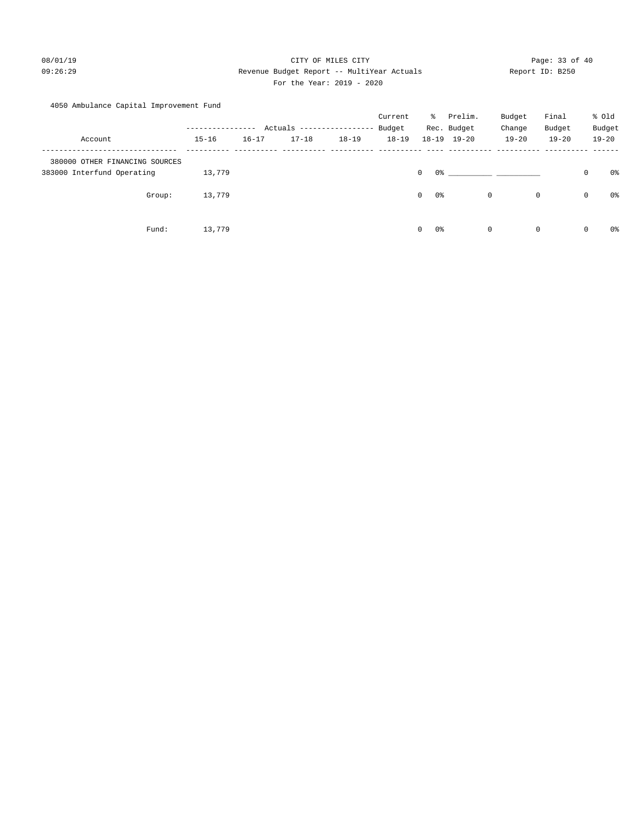# 08/01/19 Page: 33 of 40 09:26:29 Revenue Budget Report -- MultiYear Actuals Report ID: B250 For the Year: 2019 - 2020

# 4050 Ambulance Capital Improvement Fund

|                                |               |           |                           |           | Current   | ိ                  | Prelim.             | Budget      | Final       |         | % Old     |
|--------------------------------|---------------|-----------|---------------------------|-----------|-----------|--------------------|---------------------|-------------|-------------|---------|-----------|
|                                | ------------- |           | Actuals ----------------- |           | Budget    |                    | Rec. Budget         | Change      | Budget      |         | Budget    |
| Account                        | $15 - 16$     | $16 - 17$ | $17 - 18$                 | $18 - 19$ | $18 - 19$ |                    | $18 - 19$ $19 - 20$ | $19 - 20$   | $19 - 20$   |         | $19 - 20$ |
| 380000 OTHER FINANCING SOURCES |               |           |                           |           |           |                    |                     |             |             |         |           |
| 383000 Interfund Operating     | 13,779        |           |                           |           |           | 0%<br>0            |                     |             |             | $\circ$ | 0%        |
| Group:                         | 13,779        |           |                           |           |           | $\mathbf{0}$<br>0% |                     | 0           | $\mathbf 0$ | 0       | 0%        |
| Fund:                          | 13,779        |           |                           |           |           | $\mathbf{0}$<br>0% |                     | $\mathbf 0$ | $\mathbf 0$ | 0       | 0%        |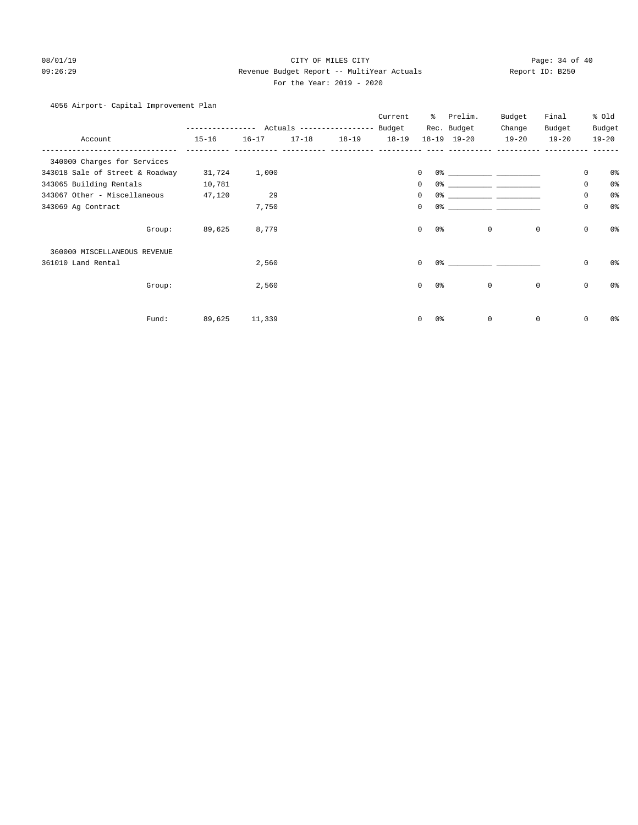# 08/01/19 Page: 34 of 40 09:26:29 Revenue Budget Report -- MultiYear Actuals Report ID: B250 For the Year: 2019 - 2020

# 4056 Airport- Capital Improvement Plan

|                                 | .         |           |           | Actuals ------------------ | Current<br>Budget | ి         | Prelim.<br>Rec. Budget | Budget<br>Change | Final<br>Budget |             | % Old<br>Budget |
|---------------------------------|-----------|-----------|-----------|----------------------------|-------------------|-----------|------------------------|------------------|-----------------|-------------|-----------------|
| Account                         | $15 - 16$ | $16 - 17$ | $17 - 18$ | $18 - 19$                  | $18 - 19$         | $18 - 19$ | $19 - 20$              | $19 - 20$        | $19 - 20$       |             | $19 - 20$       |
| 340000 Charges for Services     |           |           |           |                            |                   |           |                        |                  |                 |             |                 |
| 343018 Sale of Street & Roadway | 31,724    | 1,000     |           |                            |                   | 0         | 0%                     |                  |                 | $\mathbf 0$ | 0 <sup>o</sup>  |
| 343065 Building Rentals         | 10,781    |           |           |                            |                   | 0         | 0 <sup>o</sup>         |                  |                 | $\mathbf 0$ | 0 <sup>o</sup>  |
| 343067 Other - Miscellaneous    | 47,120    | 29        |           |                            |                   | 0         | 0%                     |                  |                 | $\mathbf 0$ | 0 <sup>o</sup>  |
| 343069 Ag Contract              |           | 7,750     |           |                            |                   | 0         | 0%                     |                  |                 | $\mathbf 0$ | 0 <sup>°</sup>  |
| Group:                          | 89,625    | 8,779     |           |                            |                   | 0         | $0\,$                  | $\mathbf 0$      | $\mathbf 0$     | $\mathsf 0$ | 0 <sup>°</sup>  |
| 360000 MISCELLANEOUS REVENUE    |           |           |           |                            |                   |           |                        |                  |                 |             |                 |
| 361010 Land Rental              |           | 2,560     |           |                            |                   | $\Omega$  | 0%                     |                  |                 | $\mathbf 0$ | 0%              |
| Group:                          |           | 2,560     |           |                            |                   | 0         | 0 <sup>o</sup>         | $\mathbf 0$      | $\mathbf 0$     | $\mathbf 0$ | 0 <sup>o</sup>  |
| Fund:                           | 89,625    | 11,339    |           |                            |                   | 0         | 0%                     | $\mathbf 0$      | $\mathbf 0$     | $\mathbf 0$ | 0%              |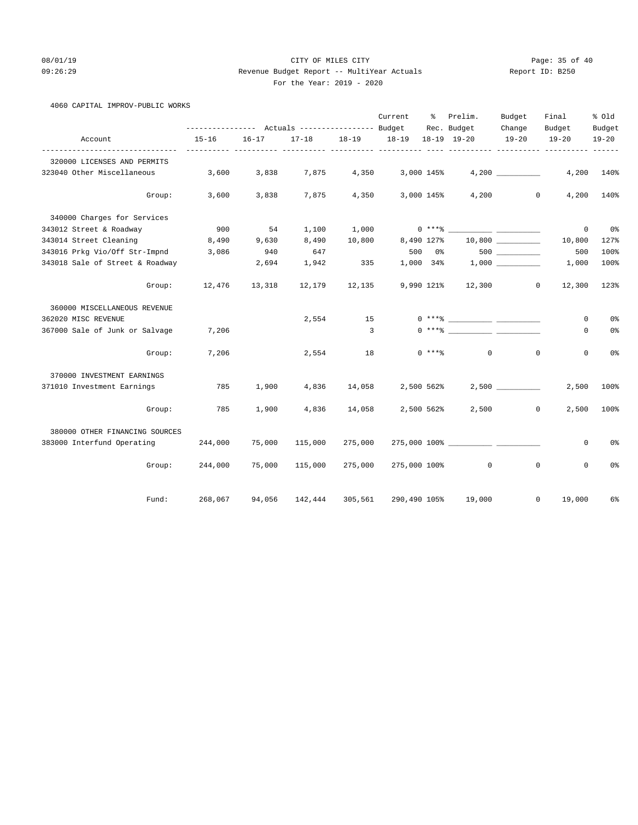# 08/01/19 Page: 35 of 40 09:26:29 Revenue Budget Report -- MultiYear Actuals Report ID: B250 For the Year: 2019 - 2020

# 4060 CAPITAL IMPROV-PUBLIC WORKS

|                                 |                                                 |               |         |             | Current                                                | ွေ         | Prelim.                       | Budget           | Final                                | % old          |
|---------------------------------|-------------------------------------------------|---------------|---------|-------------|--------------------------------------------------------|------------|-------------------------------|------------------|--------------------------------------|----------------|
|                                 | --------------- Actuals ---------------- Budget |               |         | Rec. Budget | Change                                                 | Budget     | Budget                        |                  |                                      |                |
| Account                         | $15 - 16$                                       | $16 - 17$     |         |             | 17-18 18-19 18-19 18-19 19-20<br>----- ---------- ---- |            |                               | $19 - 20$        | $19 - 20$<br>------ ---------- ----- | $19 - 20$      |
| 320000 LICENSES AND PERMITS     |                                                 |               |         |             |                                                        |            |                               |                  |                                      |                |
| 323040 Other Miscellaneous      | 3,600                                           | 3,838         | 7,875   | 4,350       |                                                        | 3,000 145% |                               | 4,200            | 4,200                                | 140%           |
| Group:                          | 3,600                                           | 3,838         | 7,875   | 4,350       |                                                        |            | 3,000 145%                    | 4,200<br>$\circ$ | 4,200                                | 140%           |
| 340000 Charges for Services     |                                                 |               |         |             |                                                        |            |                               |                  |                                      |                |
| 343012 Street & Roadway         | 900                                             | 54            | 1,100   | 1,000       |                                                        |            |                               |                  | 0                                    | 0 %            |
| 343014 Street Cleaning          | 8,490                                           | 9,630         | 8,490   | 10,800      |                                                        | 8,490 127% |                               | 10,800           | 10,800                               | 127%           |
| 343016 Prkg Vio/Off Str-Impnd   | 3,086                                           | 940           | 647     |             | 500                                                    | $0\,$ %    |                               |                  | 500                                  | 100%           |
| 343018 Sale of Street & Roadway |                                                 | 2,694         | 1,942   | 335         |                                                        |            | $1,000$ 34% $1,000$ _________ |                  | 1,000                                | 100%           |
| Group:                          |                                                 | 12,476 13,318 | 12,179  | 12,135      |                                                        |            | 9,990 121% 12,300             | $\circ$          | 12,300                               | 123%           |
| 360000 MISCELLANEOUS REVENUE    |                                                 |               |         |             |                                                        |            |                               |                  |                                      |                |
| 362020 MISC REVENUE             |                                                 |               | 2,554   | 15          |                                                        |            | $0***$ $\frac{1}{2}$          |                  | 0                                    | 0%             |
| 367000 Sale of Junk or Salvage  | 7,206                                           |               |         | 3           |                                                        |            |                               |                  | 0                                    | 0%             |
| Group:                          | 7,206                                           |               | 2,554   | 18          |                                                        |            | $0$ *** $\approx$ 0           | $\mathbf{0}$     | $\mathbf{0}$                         | 0 <sup>°</sup> |
| 370000 INVESTMENT EARNINGS      |                                                 |               |         |             |                                                        |            |                               |                  |                                      |                |
| 371010 Investment Earnings      | 785                                             | 1,900         | 4,836   | 14,058      |                                                        | 2,500 562% |                               | 2,500            | 2,500                                | 100%           |
| Group:                          | 785                                             | 1,900         | 4,836   | 14,058      |                                                        | 2,500 562% | 2,500                         | $\mathbf{0}$     | 2,500                                | 100%           |
| 380000 OTHER FINANCING SOURCES  |                                                 |               |         |             |                                                        |            |                               |                  |                                      |                |
| 383000 Interfund Operating      | 244,000                                         | 75,000        | 115,000 | 275,000     |                                                        |            |                               |                  | 0                                    | 0%             |
| Group:                          | 244,000                                         | 75,000        | 115,000 | 275,000     |                                                        |            | 275,000 100% 0                | $\mathbf 0$      | $\mathbf 0$                          | 0%             |
| Fund:                           | 268,067                                         | 94,056        | 142,444 | 305,561     | 290,490 105%                                           |            | 19,000                        | $\mathbf{0}$     | 19,000                               | 6%             |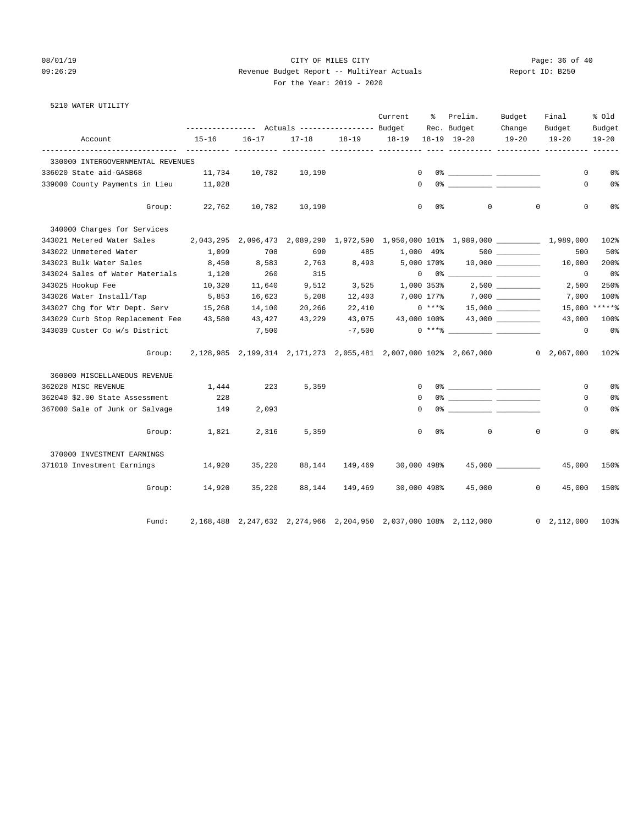# 08/01/19 Page: 36 of 40 09:26:29 Revenue Budget Report -- MultiYear Actuals Report ID: B250 For the Year: 2019 - 2020

| 5210 WATER UTILITY |  |
|--------------------|--|
|--------------------|--|

|                                         |                                                                                 |           |           |                  | Current                          | ိ              | Prelim.                                                                                                                                                                                                                                                                                                                                                            | Budget             | Final              | % old          |
|-----------------------------------------|---------------------------------------------------------------------------------|-----------|-----------|------------------|----------------------------------|----------------|--------------------------------------------------------------------------------------------------------------------------------------------------------------------------------------------------------------------------------------------------------------------------------------------------------------------------------------------------------------------|--------------------|--------------------|----------------|
|                                         |                                                                                 |           |           | Rec. Budget      | Change                           | Budget         | Budget                                                                                                                                                                                                                                                                                                                                                             |                    |                    |                |
| Account                                 | 15-16                                                                           | $16 - 17$ | $17 - 18$ |                  | 18-19    18-19    18-19    19-20 |                |                                                                                                                                                                                                                                                                                                                                                                    | $19 - 20$          | $19 - 20$          | $19 - 20$      |
| 330000 INTERGOVERNMENTAL REVENUES       |                                                                                 |           |           |                  |                                  |                |                                                                                                                                                                                                                                                                                                                                                                    |                    |                    |                |
| 336020 State aid-GASB68                 | 11,734                                                                          | 10,782    | 10,190    |                  | $\Omega$                         |                |                                                                                                                                                                                                                                                                                                                                                                    |                    | 0                  | 0 <sup>°</sup> |
| 339000 County Payments in Lieu          | 11,028                                                                          |           |           |                  |                                  |                | $\begin{picture}(180,10) \put(0,0){\vector(1,0){100}} \put(10,0){\vector(1,0){100}} \put(10,0){\vector(1,0){100}} \put(10,0){\vector(1,0){100}} \put(10,0){\vector(1,0){100}} \put(10,0){\vector(1,0){100}} \put(10,0){\vector(1,0){100}} \put(10,0){\vector(1,0){100}} \put(10,0){\vector(1,0){100}} \put(10,0){\vector(1,0){100}} \put(10,0){\vector(1,0){100}}$ |                    | 0                  | 0 <sup>°</sup> |
| Group:                                  | 22,762                                                                          | 10,782    | 10,190    |                  |                                  | $0\qquad 0$ %  | $\circ$                                                                                                                                                                                                                                                                                                                                                            | $\mathbf{0}$       | 0                  | 0%             |
| 340000 Charges for Services             |                                                                                 |           |           |                  |                                  |                |                                                                                                                                                                                                                                                                                                                                                                    |                    |                    |                |
| 343021 Metered Water Sales              | 2,043,295 2,096,473 2,089,290 1,972,590 1,950,000 101% 1,989,000 ______________ |           |           |                  |                                  |                |                                                                                                                                                                                                                                                                                                                                                                    |                    | 1,989,000          | 102%           |
| 343022 Unmetered Water                  | 1,099                                                                           | 708       | 690       | 485              | 1,000 49%                        |                |                                                                                                                                                                                                                                                                                                                                                                    |                    | 500                | 50%            |
| 343023 Bulk Water Sales                 | 8,450                                                                           | 8,583     | 2,763     | 8,493            | 5,000 170%                       |                |                                                                                                                                                                                                                                                                                                                                                                    |                    | 10,000             | 200%           |
| 343024 Sales of Water Materials 1,120   |                                                                                 | 260       | 315       |                  |                                  |                | $\begin{picture}(150,10) \put(0,0){\vector(1,0){100}} \put(15,0){\vector(1,0){100}} \put(15,0){\vector(1,0){100}} \put(15,0){\vector(1,0){100}} \put(15,0){\vector(1,0){100}} \put(15,0){\vector(1,0){100}} \put(15,0){\vector(1,0){100}} \put(15,0){\vector(1,0){100}} \put(15,0){\vector(1,0){100}} \put(15,0){\vector(1,0){100}} \put(15,0){\vector(1,0){100}}$ |                    | $\mathbf 0$        | 0%             |
| 343025 Hookup Fee                       | 10,320                                                                          | 11,640    | 9,512     |                  | 3,525 1,000 353%                 |                |                                                                                                                                                                                                                                                                                                                                                                    | $2,500$ __________ | 2,500              | 250%           |
| 343026 Water Install/Tap                | 5,853                                                                           | 16,623    | 5,208     |                  |                                  |                | $12,403$ 7,000 177% 7,000 ________                                                                                                                                                                                                                                                                                                                                 |                    | 7,000              | 100%           |
| 343027 Chg for Wtr Dept. Serv 15,268    |                                                                                 | 14,100    | 20,266    |                  | 22,410 0 ****                    |                |                                                                                                                                                                                                                                                                                                                                                                    |                    |                    | 15,000 ******  |
| 343029 Curb Stop Replacement Fee 43,580 |                                                                                 | 43,427    | 43,229    | 43,075           |                                  |                | 43,000 100% 43,000 _________                                                                                                                                                                                                                                                                                                                                       |                    | 43,000             | 100%           |
| 343039 Custer Co w/s District           |                                                                                 | 7,500     |           | $-7,500$         |                                  |                | $0***$ $\frac{1}{2}$ $\frac{1}{2}$ $\frac{1}{2}$ $\frac{1}{2}$ $\frac{1}{2}$ $\frac{1}{2}$ $\frac{1}{2}$ $\frac{1}{2}$ $\frac{1}{2}$ $\frac{1}{2}$ $\frac{1}{2}$ $\frac{1}{2}$ $\frac{1}{2}$ $\frac{1}{2}$ $\frac{1}{2}$ $\frac{1}{2}$ $\frac{1}{2}$ $\frac{1}{2}$ $\frac{1}{2}$ $\frac{1}{2}$ $\frac{1}{2}$ $\frac{1}{$                                           |                    | $\Omega$           | 0%             |
| Group:                                  | 2,128,985 2,199,314 2,171,273 2,055,481 2,007,000 102% 2,067,000 0 2,067,000    |           |           |                  |                                  |                |                                                                                                                                                                                                                                                                                                                                                                    |                    |                    | 102%           |
| 360000 MISCELLANEOUS REVENUE            |                                                                                 |           |           |                  |                                  |                |                                                                                                                                                                                                                                                                                                                                                                    |                    |                    |                |
| 362020 MISC REVENUE                     | 1,444                                                                           | 223       | 5,359     |                  |                                  | $\overline{0}$ |                                                                                                                                                                                                                                                                                                                                                                    |                    | $\circ$            | 0 <sup>°</sup> |
| 362040 \$2.00 State Assessment          | 228                                                                             |           |           |                  | $\Omega$                         |                |                                                                                                                                                                                                                                                                                                                                                                    |                    | 0                  | 0%             |
| 367000 Sale of Junk or Salvage          | 149                                                                             | 2,093     |           |                  | $\mathbf{0}$                     |                |                                                                                                                                                                                                                                                                                                                                                                    |                    | 0                  | 0%             |
| Group:                                  | 1,821                                                                           | 2,316     | 5,359     |                  | $\overline{0}$                   | 0 왕            | $\circ$                                                                                                                                                                                                                                                                                                                                                            | $\circ$            | $\mathbf 0$        | 0 <sup>°</sup> |
| 370000 INVESTMENT EARNINGS              |                                                                                 |           |           |                  |                                  |                |                                                                                                                                                                                                                                                                                                                                                                    |                    |                    |                |
| 371010 Investment Earnings              | 14,920                                                                          | 35,220    |           | 88, 144 149, 469 | 30,000 498%                      |                |                                                                                                                                                                                                                                                                                                                                                                    | 45,000 ___________ | 45,000             | 150%           |
|                                         | Group: 14,920                                                                   | 35,220    |           | 88, 144 149, 469 | 30,000 498%                      |                |                                                                                                                                                                                                                                                                                                                                                                    | 45,000 0           | 45,000             | 150%           |
| Fund:                                   |                                                                                 |           |           |                  |                                  |                | 2,168,488 2,247,632 2,274,966 2,204,950 2,037,000 108% 2,112,000                                                                                                                                                                                                                                                                                                   |                    | $0\quad 2,112,000$ | 103%           |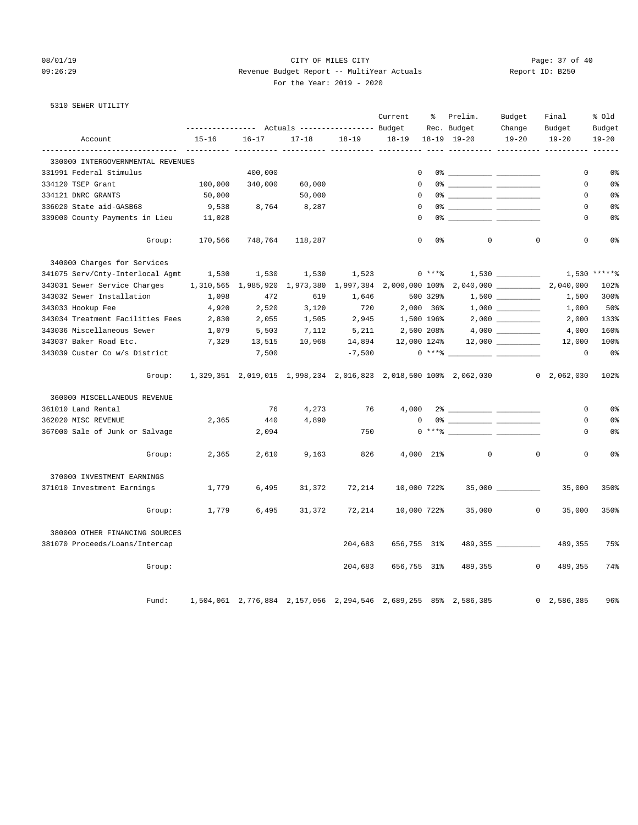# 08/01/19 Page: 37 of 40 09:26:29 Revenue Budget Report -- MultiYear Actuals Report ID: B250 For the Year: 2019 - 2020

5310 SEWER UTILITY

|                                   |                                                 |                               |           |             | Current        | ႜ         | Prelim.                                                         | Budget             | Final                                                                        | % Old          |
|-----------------------------------|-------------------------------------------------|-------------------------------|-----------|-------------|----------------|-----------|-----------------------------------------------------------------|--------------------|------------------------------------------------------------------------------|----------------|
|                                   | --------------- Actuals ---------------- Budget |                               |           | Rec. Budget | Change         | Budget    | Budget                                                          |                    |                                                                              |                |
| Account                           | $15 - 16$<br>-------                            | $16 - 17$<br>-----------      | $17 - 18$ | $18 - 19$   | $18 - 19$      |           | $18-19$ $19-20$                                                 | $19 - 20$          | $19 - 20$<br>___________ __________ ______                                   | $19 - 20$      |
| 330000 INTERGOVERNMENTAL REVENUES |                                                 |                               |           |             |                |           |                                                                 |                    |                                                                              |                |
| 331991 Federal Stimulus           |                                                 | 400,000                       |           |             | $\Omega$       |           |                                                                 |                    | $\mathbf 0$                                                                  | 0 <sup>°</sup> |
| 334120 TSEP Grant                 | 100,000                                         | 340,000                       | 60,000    |             | $\mathbf 0$    |           |                                                                 |                    | 0                                                                            | 0 <sup>°</sup> |
| 334121 DNRC GRANTS                | 50,000                                          |                               | 50,000    |             | $\Omega$       |           |                                                                 |                    | $\Omega$                                                                     | 0%             |
| 336020 State aid-GASB68           | 9,538                                           | 8,764                         | 8,287     |             | $\mathbf 0$    |           |                                                                 |                    | $\mathbf 0$                                                                  | 0 <sup>°</sup> |
| 339000 County Payments in Lieu    | 11,028                                          |                               |           |             | 0              |           |                                                                 |                    | 0                                                                            | 0%             |
| Group:                            | 170,566                                         | 748,764                       | 118,287   |             | $\mathbf 0$    | 0%        | $\mathbf{0}$                                                    | $\mathbf 0$        | $\mathbf 0$                                                                  | 0%             |
| 340000 Charges for Services       |                                                 |                               |           |             |                |           |                                                                 |                    |                                                                              |                |
| 341075 Serv/Cnty-Interlocal Agmt  | 1,530                                           | 1,530                         | 1,530     | 1,523       |                | $0***8$   |                                                                 |                    | 1,530                                                                        | $*****$        |
| 343031 Sewer Service Charges      |                                                 | 1,310,565 1,985,920 1,973,380 |           | 1,997,384   | 2,000,000 100% |           | $2,040,000$ ___________                                         |                    | 2,040,000                                                                    | 102%           |
| 343032 Sewer Installation         | 1,098                                           | 472                           | 619       | 1,646       |                | 500 329%  |                                                                 |                    | 1,500                                                                        | 300%           |
| 343033 Hookup Fee                 | 4,920                                           | 2,520                         | 3,120     | 720         |                | 2,000 36% |                                                                 |                    | 1,000                                                                        | 50%            |
| 343034 Treatment Facilities Fees  | 2,830                                           | 2,055                         | 1,505     | 2,945       | 1,500 196%     |           |                                                                 | $2,000$ __________ | 2,000                                                                        | 133%           |
| 343036 Miscellaneous Sewer        | 1,079                                           | 5,503                         | 7,112     | 5,211       | 2,500 208%     |           |                                                                 |                    | 4,000                                                                        | 160%           |
| 343037 Baker Road Etc.            | 7,329                                           | 13,515                        | 10,968    | 14,894      | 12,000 124%    |           |                                                                 |                    | 12,000                                                                       | 100%           |
| 343039 Custer Co w/s District     |                                                 | 7,500                         |           | $-7,500$    |                | $0***8$   | للمستحصل                                                        |                    | $\mathbf 0$                                                                  | 0 <sup>°</sup> |
| Group:                            |                                                 |                               |           |             |                |           |                                                                 |                    | 1,329,351 2,019,015 1,998,234 2,016,823 2,018,500 100% 2,062,030 0 2,062,030 | 102%           |
| 360000 MISCELLANEOUS REVENUE      |                                                 |                               |           |             |                |           |                                                                 |                    |                                                                              |                |
| 361010 Land Rental                |                                                 | 76                            | 4,273     | 76          | 4,000          |           |                                                                 |                    | 0                                                                            | 0 <sup>8</sup> |
| 362020 MISC REVENUE               | 2,365                                           | 440                           | 4,890     |             | $\Omega$       |           |                                                                 |                    | 0                                                                            | 0 <sup>8</sup> |
| 367000 Sale of Junk or Salvage    |                                                 | 2,094                         |           | 750         |                |           |                                                                 |                    | $\Omega$                                                                     | $0\,$          |
| Group:                            | 2,365                                           | 2,610                         | 9,163     | 826         |                | 4,000 21% | $\overline{0}$                                                  | $\mathbf{0}$       | $\mathbf 0$                                                                  | 0%             |
| 370000 INVESTMENT EARNINGS        |                                                 |                               |           |             |                |           |                                                                 |                    |                                                                              |                |
| 371010 Investment Earnings        | 1,779                                           | 6,495                         | 31,372    | 72,214      | 10,000 722%    |           |                                                                 |                    | 35,000                                                                       | 350%           |
| Group:                            | 1,779                                           | 6,495                         | 31,372    | 72,214      | 10,000 722%    |           | 35,000                                                          | $^{\circ}$         | 35,000                                                                       | 350%           |
| 380000 OTHER FINANCING SOURCES    |                                                 |                               |           |             |                |           |                                                                 |                    |                                                                              |                |
| 381070 Proceeds/Loans/Intercap    |                                                 |                               |           | 204,683     | 656,755 31%    |           |                                                                 |                    | 489,355                                                                      | 75%            |
| Group:                            |                                                 |                               |           | 204,683     | 656,755 31%    |           | 489,355                                                         | $\Omega$           | 489,355                                                                      | 74%            |
| Fund:                             |                                                 |                               |           |             |                |           | 1,504,061 2,776,884 2,157,056 2,294,546 2,689,255 85% 2,586,385 |                    | 0, 2, 586, 385                                                               | 96%            |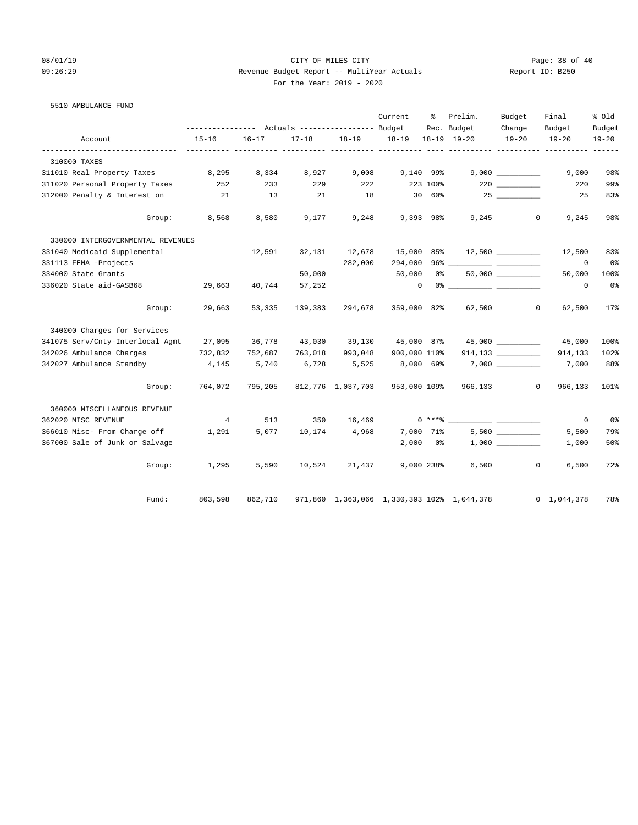# 08/01/19 Page: 38 of 40 09:26:29 Revenue Budget Report -- MultiYear Actuals Report ID: B250 For the Year: 2019 - 2020

5510 AMBULANCE FUND

|                                   |                |           |           |                   | Current      | ႜ        | Prelim.                                    | Budget                                               | Final                   | % Old          |
|-----------------------------------|----------------|-----------|-----------|-------------------|--------------|----------|--------------------------------------------|------------------------------------------------------|-------------------------|----------------|
|                                   |                |           |           | Rec. Budget       | Change       | Budget   | Budget                                     |                                                      |                         |                |
| Account                           | $15 - 16$      | $16 - 17$ | $17 - 18$ | $18 - 19$         | 18-19        |          | 18-19 19-20                                | $19 - 20$                                            | $19 - 20$               | $19 - 20$      |
| 310000 TAXES                      |                |           |           |                   |              |          |                                            |                                                      |                         |                |
| 311010 Real Property Taxes        | 8,295          | 8,334     | 8,927     | 9,008             | 9,140 99%    |          |                                            |                                                      | 9,000                   | 98%            |
| 311020 Personal Property Taxes    | 252            | 233       | 229       | 222               |              | 223 100% |                                            |                                                      | 220                     | 99%            |
| 312000 Penalty & Interest on      | 21             | 13        | 21        | 18                |              | 30 60%   |                                            | 25                                                   | 25                      | 83%            |
| Group:                            | 8,568          | 8,580     | 9,177     | 9,248             | 9,393 98%    |          | 9,245                                      |                                                      | $\mathbf{0}$<br>9,245   | 98%            |
| 330000 INTERGOVERNMENTAL REVENUES |                |           |           |                   |              |          |                                            |                                                      |                         |                |
| 331040 Medicaid Supplemental      |                | 12,591    | 32,131    | 12,678            | 15,000       | 85%      |                                            |                                                      | 12,500                  | 83%            |
| 331113 FEMA -Projects             |                |           |           | 282,000           | 294,000      |          |                                            |                                                      | 0                       | 0%             |
| 334000 State Grants               |                |           | 50,000    |                   | 50,000       |          | 0 %                                        |                                                      | 50,000                  | 100%           |
| 336020 State aid-GASB68           | 29,663         | 40,744    | 57,252    |                   | $\mathbf{0}$ |          |                                            |                                                      | 0                       | 0 <sup>8</sup> |
| Group:                            | 29,663         | 53,335    | 139,383   | 294,678           | 359,000 82%  |          | 62,500                                     |                                                      | $\circ$<br>62,500       | 17%            |
| 340000 Charges for Services       |                |           |           |                   |              |          |                                            |                                                      |                         |                |
| 341075 Serv/Cnty-Interlocal Agmt  | 27,095         | 36,778    |           | 43,030 39,130     | 45,000 87%   |          |                                            |                                                      | 45,000                  | 100%           |
| 342026 Ambulance Charges          | 732,832        | 752,687   | 763,018   | 993,048           | 900,000 110% |          |                                            |                                                      | 914,133                 | 102%           |
| 342027 Ambulance Standby          | 4,145          | 5,740     | 6,728     | 5,525             | 8,000 69%    |          |                                            |                                                      | 7,000                   | 88%            |
| Group:                            | 764,072        | 795,205   |           | 812,776 1,037,703 | 953,000 109% |          | 966,133                                    |                                                      | $\mathbf{0}$<br>966,133 | 101%           |
| 360000 MISCELLANEOUS REVENUE      |                |           |           |                   |              |          |                                            |                                                      |                         |                |
| 362020 MISC REVENUE               | $\overline{4}$ | 513       | 350       | 16,469            |              |          | $0***8$                                    | <u> 1989 - Andrea State Barnett, ameri</u> kansk kon | $\mathbf 0$             | 0 <sup>8</sup> |
| 366010 Misc- From Charge off      | 1,291          | 5,077     | 10,174    | 4,968             | 7,000 71%    |          |                                            |                                                      | 5,500                   | 79%            |
| 367000 Sale of Junk or Salvage    |                |           |           |                   | 2,000        | 0 %      |                                            |                                                      | 1,000                   | 50%            |
| Group:                            | 1,295          | 5,590     | 10,524    | 21,437            | 9,000 238%   |          | 6,500                                      |                                                      | $\circ$<br>6,500        | 72%            |
| Fund:                             | 803,598        | 862,710   |           |                   |              |          | 971,860 1,363,066 1,330,393 102% 1,044,378 |                                                      | $0 \quad 1,044,378$     | 78%            |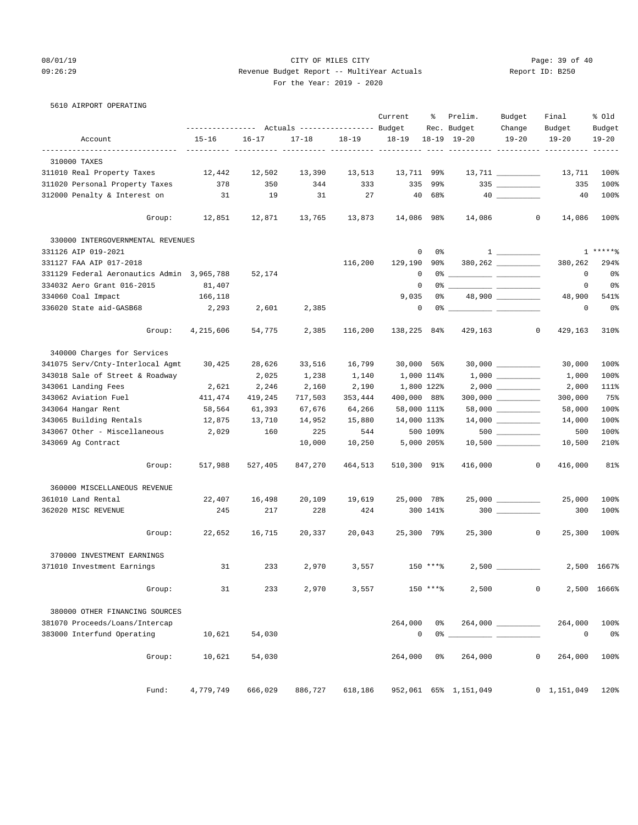# 08/01/19 Page: 39 of 40 09:26:29 Revenue Budget Report -- MultiYear Actuals Report ID: B250 For the Year: 2019 - 2020

5610 AIRPORT OPERATING

|                                            | --------------- Actuals ---------------- Budget |           |           |           | Current      | ႜ              | Prelim.<br>Rec. Budget | Budget<br>Change                                                                                                                                                                                                                                                                                                                                                                                                                                                                  | Final<br>Budget                 | % Old<br>Budget |
|--------------------------------------------|-------------------------------------------------|-----------|-----------|-----------|--------------|----------------|------------------------|-----------------------------------------------------------------------------------------------------------------------------------------------------------------------------------------------------------------------------------------------------------------------------------------------------------------------------------------------------------------------------------------------------------------------------------------------------------------------------------|---------------------------------|-----------------|
| Account                                    | $15 - 16$                                       | $16 - 17$ | $17 - 18$ | $18 - 19$ | $18 - 19$    |                | $18 - 19$ $19 - 20$    | $19 - 20$                                                                                                                                                                                                                                                                                                                                                                                                                                                                         | $19 - 20$                       | $19 - 20$       |
| -------------------------------            |                                                 |           |           |           |              |                |                        |                                                                                                                                                                                                                                                                                                                                                                                                                                                                                   | ---------- ---------- --------- |                 |
| 310000 TAXES                               |                                                 |           |           |           |              |                |                        |                                                                                                                                                                                                                                                                                                                                                                                                                                                                                   |                                 |                 |
| 311010 Real Property Taxes                 | 12,442                                          | 12,502    | 13,390    | 13,513    | 13,711 99%   |                |                        |                                                                                                                                                                                                                                                                                                                                                                                                                                                                                   | 13,711                          | 100%            |
| 311020 Personal Property Taxes             | 378                                             | 350       | 344       | 333       | 335          | 99%            |                        | $335$ ___________                                                                                                                                                                                                                                                                                                                                                                                                                                                                 | 335                             | 100%            |
| 312000 Penalty & Interest on               | 31                                              | 19        | 31        | 27        |              | 40 68%         |                        |                                                                                                                                                                                                                                                                                                                                                                                                                                                                                   | 40                              | 100%            |
| Group:                                     | 12,851                                          | 12,871    | 13,765    | 13,873    | 14,086 98%   |                | 14,086                 | $\circ$                                                                                                                                                                                                                                                                                                                                                                                                                                                                           | 14,086                          | 100%            |
| 330000 INTERGOVERNMENTAL REVENUES          |                                                 |           |           |           |              |                |                        |                                                                                                                                                                                                                                                                                                                                                                                                                                                                                   |                                 |                 |
| 331126 AIP 019-2021                        |                                                 |           |           |           | 0            | 0%             |                        | $\begin{tabular}{c} 1 & \begin{tabular}{@{}c@{}} \multicolumn{3}{c}{} \multicolumn{3}{c}{} \multicolumn{3}{c}{} \multicolumn{3}{c}{} \multicolumn{3}{c}{} \multicolumn{3}{c}{} \multicolumn{3}{c}{} \multicolumn{3}{c}{} \multicolumn{3}{c}{} \multicolumn{3}{c}{} \multicolumn{3}{c}{} \multicolumn{3}{c}{} \multicolumn{3}{c}{} \multicolumn{3}{c}{} \multicolumn{3}{c}{} \multicolumn{3}{c}{} \multicolumn{3}{c}{} \multicolumn{3}{c}{} \multicolumn{3}{c}{} \multicolumn{3}{$ |                                 | $1****8$        |
| 331127 FAA AIP 017-2018                    |                                                 |           |           | 116,200   | 129,190      | 90%            |                        | $380, 262$ _________                                                                                                                                                                                                                                                                                                                                                                                                                                                              | 380,262                         | 294%            |
| 331129 Federal Aeronautics Admin 3,965,788 |                                                 | 52,174    |           |           | 0            |                |                        |                                                                                                                                                                                                                                                                                                                                                                                                                                                                                   | 0                               | 0%              |
| 334032 Aero Grant 016-2015                 | 81,407                                          |           |           |           | $\mathbf 0$  |                |                        |                                                                                                                                                                                                                                                                                                                                                                                                                                                                                   | 0                               | 0%              |
| 334060 Coal Impact                         | 166,118                                         |           |           |           | 9,035        | 0%             |                        | 48,900 _________                                                                                                                                                                                                                                                                                                                                                                                                                                                                  | 48,900                          | 541%            |
| 336020 State aid-GASB68                    | 2,293                                           | 2,601     | 2,385     |           | 0            |                |                        |                                                                                                                                                                                                                                                                                                                                                                                                                                                                                   | 0                               | 0%              |
| Group:                                     | 4,215,606                                       | 54,775    | 2,385     | 116,200   | 138,225 84%  |                | 429,163                | $\mathbf{0}$                                                                                                                                                                                                                                                                                                                                                                                                                                                                      | 429,163                         | 310%            |
| 340000 Charges for Services                |                                                 |           |           |           |              |                |                        |                                                                                                                                                                                                                                                                                                                                                                                                                                                                                   |                                 |                 |
| 341075 Serv/Cnty-Interlocal Agmt           | 30,425                                          | 28,626    | 33,516    | 16,799    | $30,000$ 56% |                |                        |                                                                                                                                                                                                                                                                                                                                                                                                                                                                                   | 30,000                          | 100%            |
| 343018 Sale of Street & Roadway            |                                                 | 2,025     | 1,238     | 1,140     | 1,000 114%   |                |                        |                                                                                                                                                                                                                                                                                                                                                                                                                                                                                   | 1,000                           | 100%            |
| 343061 Landing Fees                        | 2,621                                           | 2,246     | 2,160     | 2,190     | 1,800 122%   |                |                        |                                                                                                                                                                                                                                                                                                                                                                                                                                                                                   | 2,000                           | 111%            |
| 343062 Aviation Fuel                       | 411,474                                         | 419,245   | 717,503   | 353,444   | 400,000 88%  |                |                        |                                                                                                                                                                                                                                                                                                                                                                                                                                                                                   | 300,000                         | 75%             |
| 343064 Hangar Rent                         | 58,564                                          | 61,393    | 67,676    | 64,266    | 58,000 111%  |                |                        |                                                                                                                                                                                                                                                                                                                                                                                                                                                                                   | 58,000                          | 100%            |
| 343065 Building Rentals                    | 12,875                                          | 13,710    | 14,952    | 15,880    | 14,000 113%  |                |                        | $14,000$ __________                                                                                                                                                                                                                                                                                                                                                                                                                                                               | 14,000                          | 100%            |
| 343067 Other - Miscellaneous 2,029         |                                                 | 160       | 225       | 544       |              | 500 109%       |                        | $500$                                                                                                                                                                                                                                                                                                                                                                                                                                                                             | 500                             | 100%            |
| 343069 Ag Contract                         |                                                 |           | 10,000    | 10,250    | 5,000 205%   |                |                        |                                                                                                                                                                                                                                                                                                                                                                                                                                                                                   | 10,500                          | 210%            |
| Group:                                     | 517,988                                         | 527,405   | 847,270   | 464,513   | 510,300 91%  |                | 416,000                | $\circ$                                                                                                                                                                                                                                                                                                                                                                                                                                                                           | 416,000                         | 81%             |
| 360000 MISCELLANEOUS REVENUE               |                                                 |           |           |           |              |                |                        |                                                                                                                                                                                                                                                                                                                                                                                                                                                                                   |                                 |                 |
| 361010 Land Rental                         | 22,407                                          | 16,498    | 20,109    | 19,619    | 25,000 78%   |                |                        |                                                                                                                                                                                                                                                                                                                                                                                                                                                                                   | 25,000                          | 100%            |
| 362020 MISC REVENUE                        | 245                                             | 217       | 228       | 424       |              | 300 141%       |                        | $300$                                                                                                                                                                                                                                                                                                                                                                                                                                                                             | 300                             | 100%            |
| Group:                                     | 22,652                                          | 16,715    | 20,337    | 20,043    | 25,300 79%   |                | 25,300                 | $\sim$ 0                                                                                                                                                                                                                                                                                                                                                                                                                                                                          | 25,300                          | 100%            |
| 370000 INVESTMENT EARNINGS                 |                                                 |           |           |           |              |                |                        |                                                                                                                                                                                                                                                                                                                                                                                                                                                                                   |                                 |                 |
| 371010 Investment Earnings                 | 31                                              | 233       | 2,970     | 3,557     |              | 150 ****       |                        |                                                                                                                                                                                                                                                                                                                                                                                                                                                                                   |                                 | 2,500 1667%     |
| Group:                                     | 31                                              | 233       | 2,970     | 3,557     |              | 150 ****       | 2,500                  | 0                                                                                                                                                                                                                                                                                                                                                                                                                                                                                 |                                 | 2,500 1666%     |
| 380000 OTHER FINANCING SOURCES             |                                                 |           |           |           |              |                |                        |                                                                                                                                                                                                                                                                                                                                                                                                                                                                                   |                                 |                 |
| 381070 Proceeds/Loans/Intercap             |                                                 |           |           |           | 264,000      | 0%             |                        |                                                                                                                                                                                                                                                                                                                                                                                                                                                                                   | 264,000                         | 100%            |
| 383000 Interfund Operating                 | 10,621                                          | 54,030    |           |           | 0            | $0\degree$ $-$ |                        |                                                                                                                                                                                                                                                                                                                                                                                                                                                                                   | 0                               | 0%              |
| Group:                                     | 10,621                                          | 54,030    |           |           | 264,000      | 0%             | 264,000                | 0                                                                                                                                                                                                                                                                                                                                                                                                                                                                                 | 264,000                         | 100%            |
| Fund:                                      | 4,779,749                                       | 666,029   | 886,727   | 618,186   |              |                | 952,061 65% 1,151,049  |                                                                                                                                                                                                                                                                                                                                                                                                                                                                                   | $0 \quad 1,151,049 \quad 1208$  |                 |